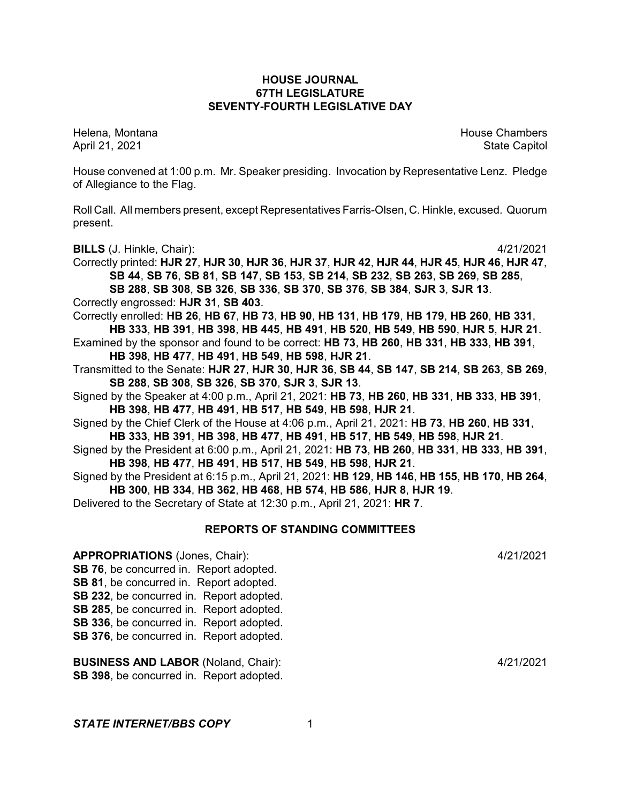# **HOUSE JOURNAL 67TH LEGISLATURE SEVENTY-FOURTH LEGISLATIVE DAY**

Helena, Montana House Chambers Chambers Chambers and House Chambers Chambers Chambers Chambers and House Chambers and House Chambers and House Chambers and House Chambers and House Chambers and House Chambers and House Cha April 21, 2021 State Capitol

House convened at 1:00 p.m. Mr. Speaker presiding. Invocation by Representative Lenz. Pledge of Allegiance to the Flag.

Roll Call. All members present, except Representatives Farris-Olsen, C. Hinkle, excused. Quorum present.

**BILLS** (J. Hinkle, Chair): 4/21/2021

Correctly printed: **HJR 27**, **HJR 30**, **HJR 36**, **HJR 37**, **HJR 42**, **HJR 44**, **HJR 45**, **HJR 46**, **HJR 47**, **SB 44**, **SB 76**, **SB 81**, **SB 147**, **SB 153**, **SB 214**, **SB 232**, **SB 263**, **SB 269**, **SB 285**, **SB 288**, **SB 308**, **SB 326**, **SB 336**, **SB 370**, **SB 376**, **SB 384**, **SJR 3**, **SJR 13**.

Correctly engrossed: **HJR 31**, **SB 403**.

Correctly enrolled: **HB 26**, **HB 67**, **HB 73**, **HB 90**, **HB 131**, **HB 179**, **HB 179**, **HB 260**, **HB 331**, **HB 333**, **HB 391**, **HB 398**, **HB 445**, **HB 491**, **HB 520**, **HB 549**, **HB 590**, **HJR 5**, **HJR 21**.

Examined by the sponsor and found to be correct: **HB 73**, **HB 260**, **HB 331**, **HB 333**, **HB 391**, **HB 398**, **HB 477**, **HB 491**, **HB 549**, **HB 598**, **HJR 21**.

Transmitted to the Senate: **HJR 27**, **HJR 30**, **HJR 36**, **SB 44**, **SB 147**, **SB 214**, **SB 263**, **SB 269**, **SB 288**, **SB 308**, **SB 326**, **SB 370**, **SJR 3**, **SJR 13**.

Signed by the Speaker at 4:00 p.m., April 21, 2021: **HB 73**, **HB 260**, **HB 331**, **HB 333**, **HB 391**, **HB 398**, **HB 477**, **HB 491**, **HB 517**, **HB 549**, **HB 598**, **HJR 21**.

Signed by the Chief Clerk of the House at 4:06 p.m., April 21, 2021: **HB 73**, **HB 260**, **HB 331**, **HB 333**, **HB 391**, **HB 398**, **HB 477**, **HB 491**, **HB 517**, **HB 549**, **HB 598**, **HJR 21**.

Signed by the President at 6:00 p.m., April 21, 2021: **HB 73**, **HB 260**, **HB 331**, **HB 333**, **HB 391**, **HB 398**, **HB 477**, **HB 491**, **HB 517**, **HB 549**, **HB 598**, **HJR 21**.

Signed by the President at 6:15 p.m., April 21, 2021: **HB 129**, **HB 146**, **HB 155**, **HB 170**, **HB 264**, **HB 300**, **HB 334**, **HB 362**, **HB 468**, **HB 574**, **HB 586**, **HJR 8**, **HJR 19**.

Delivered to the Secretary of State at 12:30 p.m., April 21, 2021: **HR 7**.

# **REPORTS OF STANDING COMMITTEES**

**APPROPRIATIONS** (Jones, Chair): 4/21/2021 **SB 76**, be concurred in. Report adopted. **SB 81**, be concurred in. Report adopted. **SB 232**, be concurred in. Report adopted. **SB 285**, be concurred in. Report adopted. **SB 336**, be concurred in. Report adopted. **SB 376**, be concurred in. Report adopted.

**BUSINESS AND LABOR** (Noland, Chair): 4/21/2021 **SB 398**, be concurred in. Report adopted.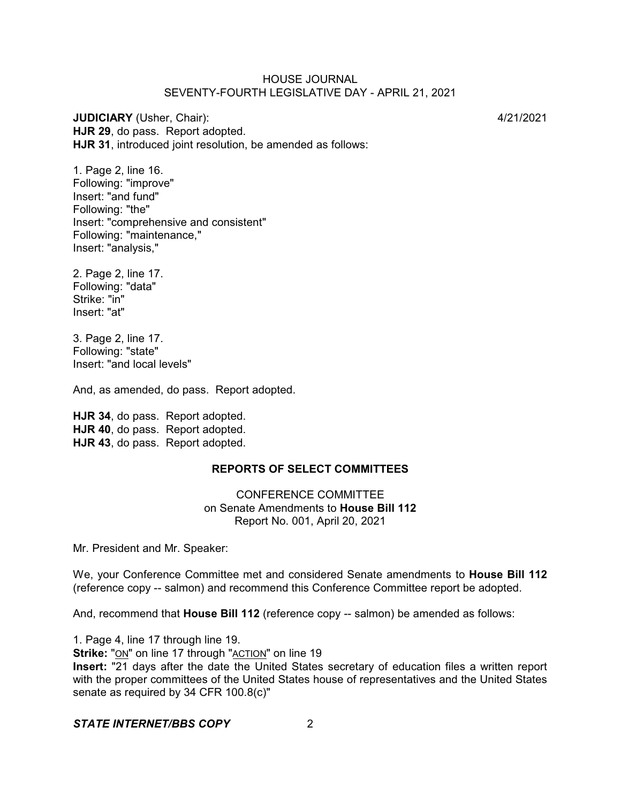**JUDICIARY** (Usher, Chair): 4/21/2021 **HJR 29**, do pass. Report adopted. **HJR 31**, introduced joint resolution, be amended as follows:

1. Page 2, line 16. Following: "improve" Insert: "and fund" Following: "the" Insert: "comprehensive and consistent" Following: "maintenance," Insert: "analysis,"

2. Page 2, line 17. Following: "data" Strike: "in" Insert: "at"

3. Page 2, line 17. Following: "state" Insert: "and local levels"

And, as amended, do pass. Report adopted.

**HJR 34**, do pass. Report adopted. **HJR 40**, do pass. Report adopted. **HJR 43**, do pass. Report adopted.

# **REPORTS OF SELECT COMMITTEES**

CONFERENCE COMMITTEE on Senate Amendments to **House Bill 112** Report No. 001, April 20, 2021

Mr. President and Mr. Speaker:

We, your Conference Committee met and considered Senate amendments to **House Bill 112** (reference copy -- salmon) and recommend this Conference Committee report be adopted.

And, recommend that **House Bill 112** (reference copy -- salmon) be amended as follows:

1. Page 4, line 17 through line 19.

**Strike:** "ON" on line 17 through "ACTION" on line 19

**Insert:** "21 days after the date the United States secretary of education files a written report with the proper committees of the United States house of representatives and the United States senate as required by 34 CFR 100.8(c)"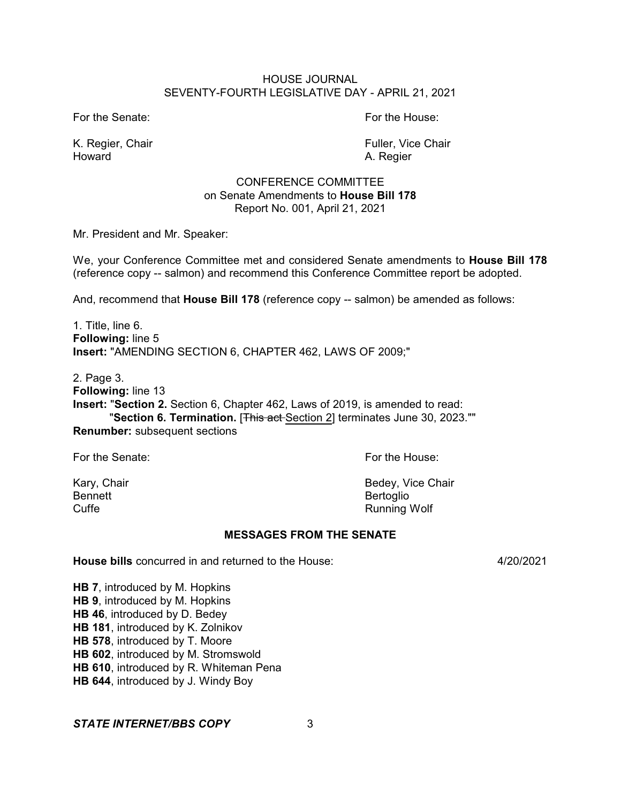For the Senate: For the House:

Howard **A. Regier** A. Regier

K. Regier, Chair Fuller, Vice Chair

# CONFERENCE COMMITTEE on Senate Amendments to **House Bill 178** Report No. 001, April 21, 2021

Mr. President and Mr. Speaker:

We, your Conference Committee met and considered Senate amendments to **House Bill 178** (reference copy -- salmon) and recommend this Conference Committee report be adopted.

And, recommend that **House Bill 178** (reference copy -- salmon) be amended as follows:

1. Title, line 6. **Following:** line 5 **Insert:** "AMENDING SECTION 6, CHAPTER 462, LAWS OF 2009;"

2. Page 3.

**Following:** line 13

**Insert:** "**Section 2.** Section 6, Chapter 462, Laws of 2019, is amended to read: "**Section 6. Termination.** [This act Section 2] terminates June 30, 2023."" **Renumber:** subsequent sections

For the Senate: For the House:

Bennett<br>Cuffe **Bertoglio**<br>Cuffe **Bertoglio** 

Kary, Chair **Bedey, Vice Chair** Bedey, Vice Chair Running Wolf

# **MESSAGES FROM THE SENATE**

**House bills** concurred in and returned to the House: 4/20/2021

**HB 7**, introduced by M. Hopkins **HB 9**, introduced by M. Hopkins **HB 46**, introduced by D. Bedey **HB 181**, introduced by K. Zolnikov **HB 578**, introduced by T. Moore **HB 602**, introduced by M. Stromswold **HB 610**, introduced by R. Whiteman Pena **HB 644**, introduced by J. Windy Boy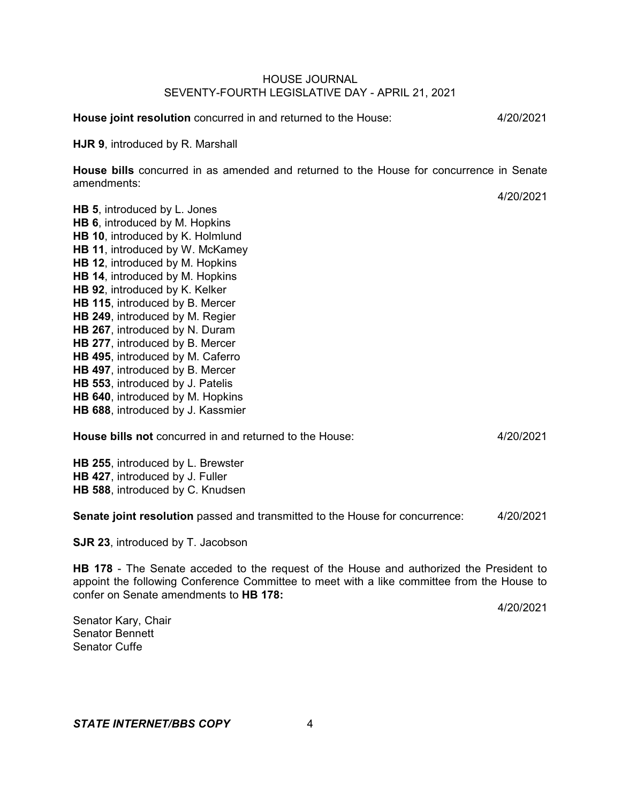**House joint resolution** concurred in and returned to the House: 4/20/2021

**HJR 9**, introduced by R. Marshall

**House bills** concurred in as amended and returned to the House for concurrence in Senate amendments:

4/20/2021

**HB 5**, introduced by L. Jones **HB 6**, introduced by M. Hopkins **HB 10**, introduced by K. Holmlund **HB 11**, introduced by W. McKamey **HB 12**, introduced by M. Hopkins **HB 14**, introduced by M. Hopkins **HB 92**, introduced by K. Kelker **HB 115**, introduced by B. Mercer **HB 249**, introduced by M. Regier **HB 267**, introduced by N. Duram **HB 277**, introduced by B. Mercer **HB 495**, introduced by M. Caferro **HB 497**, introduced by B. Mercer **HB 553**, introduced by J. Patelis **HB 640**, introduced by M. Hopkins **HB 688**, introduced by J. Kassmier

**House bills not** concurred in and returned to the House: 4/20/2021

**HB 255**, introduced by L. Brewster **HB 427**, introduced by J. Fuller **HB 588**, introduced by C. Knudsen

**Senate joint resolution** passed and transmitted to the House for concurrence: 4/20/2021

**SJR 23**, introduced by T. Jacobson

**HB 178** - The Senate acceded to the request of the House and authorized the President to appoint the following Conference Committee to meet with a like committee from the House to confer on Senate amendments to **HB 178:**

4/20/2021

Senator Kary, Chair Senator Bennett Senator Cuffe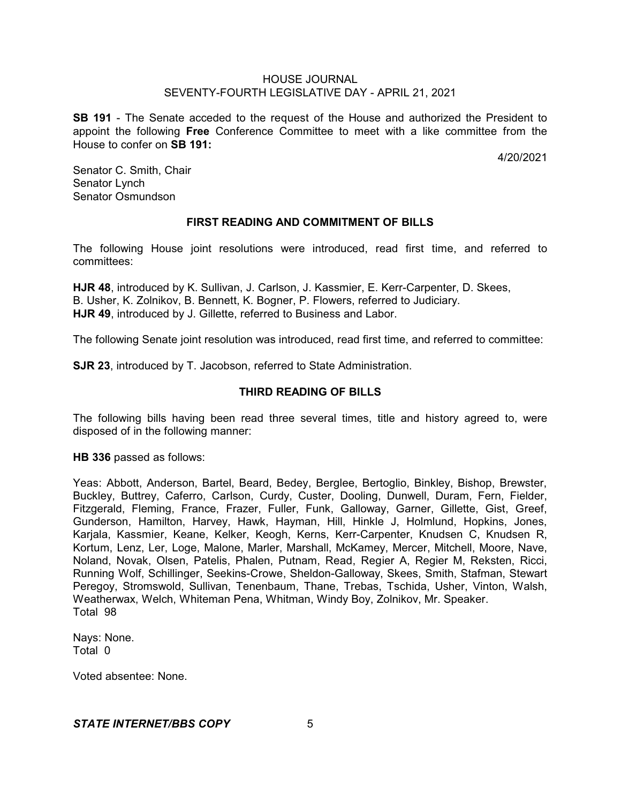**SB 191** - The Senate acceded to the request of the House and authorized the President to appoint the following **Free** Conference Committee to meet with a like committee from the House to confer on **SB 191:**

4/20/2021

Senator C. Smith, Chair Senator Lynch Senator Osmundson

# **FIRST READING AND COMMITMENT OF BILLS**

The following House joint resolutions were introduced, read first time, and referred to committees:

**HJR 48**, introduced by K. Sullivan, J. Carlson, J. Kassmier, E. Kerr-Carpenter, D. Skees, B. Usher, K. Zolnikov, B. Bennett, K. Bogner, P. Flowers, referred to Judiciary. **HJR 49**, introduced by J. Gillette, referred to Business and Labor.

The following Senate joint resolution was introduced, read first time, and referred to committee:

**SJR 23**, introduced by T. Jacobson, referred to State Administration.

# **THIRD READING OF BILLS**

The following bills having been read three several times, title and history agreed to, were disposed of in the following manner:

**HB 336** passed as follows:

Yeas: Abbott, Anderson, Bartel, Beard, Bedey, Berglee, Bertoglio, Binkley, Bishop, Brewster, Buckley, Buttrey, Caferro, Carlson, Curdy, Custer, Dooling, Dunwell, Duram, Fern, Fielder, Fitzgerald, Fleming, France, Frazer, Fuller, Funk, Galloway, Garner, Gillette, Gist, Greef, Gunderson, Hamilton, Harvey, Hawk, Hayman, Hill, Hinkle J, Holmlund, Hopkins, Jones, Karjala, Kassmier, Keane, Kelker, Keogh, Kerns, Kerr-Carpenter, Knudsen C, Knudsen R, Kortum, Lenz, Ler, Loge, Malone, Marler, Marshall, McKamey, Mercer, Mitchell, Moore, Nave, Noland, Novak, Olsen, Patelis, Phalen, Putnam, Read, Regier A, Regier M, Reksten, Ricci, Running Wolf, Schillinger, Seekins-Crowe, Sheldon-Galloway, Skees, Smith, Stafman, Stewart Peregoy, Stromswold, Sullivan, Tenenbaum, Thane, Trebas, Tschida, Usher, Vinton, Walsh, Weatherwax, Welch, Whiteman Pena, Whitman, Windy Boy, Zolnikov, Mr. Speaker. Total 98

Nays: None. Total 0

Voted absentee: None.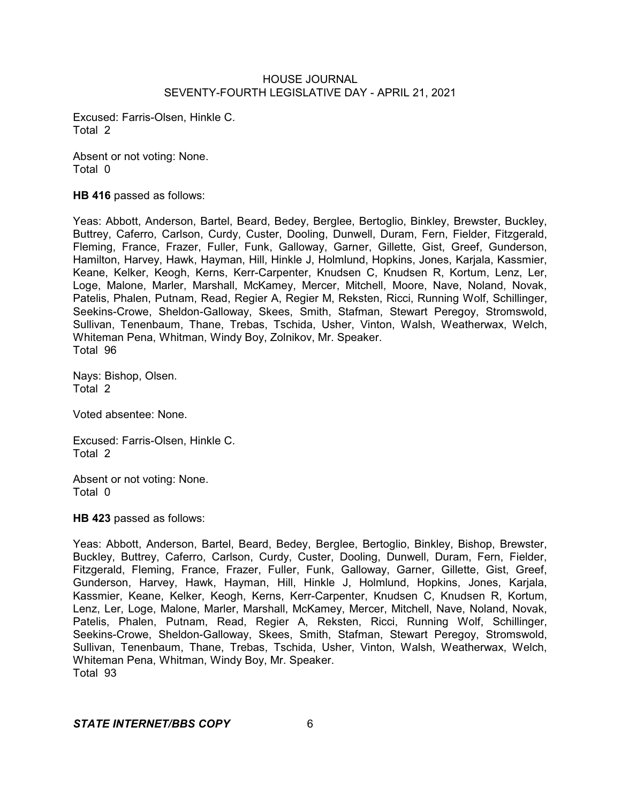Excused: Farris-Olsen, Hinkle C. Total 2

Absent or not voting: None. Total 0

**HB 416** passed as follows:

Yeas: Abbott, Anderson, Bartel, Beard, Bedey, Berglee, Bertoglio, Binkley, Brewster, Buckley, Buttrey, Caferro, Carlson, Curdy, Custer, Dooling, Dunwell, Duram, Fern, Fielder, Fitzgerald, Fleming, France, Frazer, Fuller, Funk, Galloway, Garner, Gillette, Gist, Greef, Gunderson, Hamilton, Harvey, Hawk, Hayman, Hill, Hinkle J, Holmlund, Hopkins, Jones, Karjala, Kassmier, Keane, Kelker, Keogh, Kerns, Kerr-Carpenter, Knudsen C, Knudsen R, Kortum, Lenz, Ler, Loge, Malone, Marler, Marshall, McKamey, Mercer, Mitchell, Moore, Nave, Noland, Novak, Patelis, Phalen, Putnam, Read, Regier A, Regier M, Reksten, Ricci, Running Wolf, Schillinger, Seekins-Crowe, Sheldon-Galloway, Skees, Smith, Stafman, Stewart Peregoy, Stromswold, Sullivan, Tenenbaum, Thane, Trebas, Tschida, Usher, Vinton, Walsh, Weatherwax, Welch, Whiteman Pena, Whitman, Windy Boy, Zolnikov, Mr. Speaker. Total 96

Nays: Bishop, Olsen. Total 2

Voted absentee: None.

Excused: Farris-Olsen, Hinkle C. Total 2

Absent or not voting: None. Total 0

**HB 423** passed as follows:

Yeas: Abbott, Anderson, Bartel, Beard, Bedey, Berglee, Bertoglio, Binkley, Bishop, Brewster, Buckley, Buttrey, Caferro, Carlson, Curdy, Custer, Dooling, Dunwell, Duram, Fern, Fielder, Fitzgerald, Fleming, France, Frazer, Fuller, Funk, Galloway, Garner, Gillette, Gist, Greef, Gunderson, Harvey, Hawk, Hayman, Hill, Hinkle J, Holmlund, Hopkins, Jones, Karjala, Kassmier, Keane, Kelker, Keogh, Kerns, Kerr-Carpenter, Knudsen C, Knudsen R, Kortum, Lenz, Ler, Loge, Malone, Marler, Marshall, McKamey, Mercer, Mitchell, Nave, Noland, Novak, Patelis, Phalen, Putnam, Read, Regier A, Reksten, Ricci, Running Wolf, Schillinger, Seekins-Crowe, Sheldon-Galloway, Skees, Smith, Stafman, Stewart Peregoy, Stromswold, Sullivan, Tenenbaum, Thane, Trebas, Tschida, Usher, Vinton, Walsh, Weatherwax, Welch, Whiteman Pena, Whitman, Windy Boy, Mr. Speaker. Total 93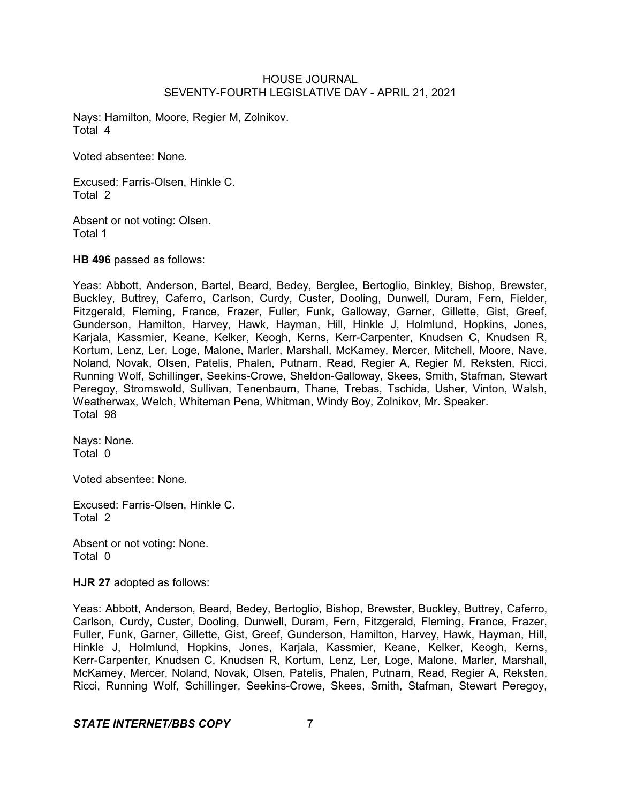Nays: Hamilton, Moore, Regier M, Zolnikov. Total 4

Voted absentee: None.

Excused: Farris-Olsen, Hinkle C. Total 2

Absent or not voting: Olsen. Total 1

**HB 496** passed as follows:

Yeas: Abbott, Anderson, Bartel, Beard, Bedey, Berglee, Bertoglio, Binkley, Bishop, Brewster, Buckley, Buttrey, Caferro, Carlson, Curdy, Custer, Dooling, Dunwell, Duram, Fern, Fielder, Fitzgerald, Fleming, France, Frazer, Fuller, Funk, Galloway, Garner, Gillette, Gist, Greef, Gunderson, Hamilton, Harvey, Hawk, Hayman, Hill, Hinkle J, Holmlund, Hopkins, Jones, Karjala, Kassmier, Keane, Kelker, Keogh, Kerns, Kerr-Carpenter, Knudsen C, Knudsen R, Kortum, Lenz, Ler, Loge, Malone, Marler, Marshall, McKamey, Mercer, Mitchell, Moore, Nave, Noland, Novak, Olsen, Patelis, Phalen, Putnam, Read, Regier A, Regier M, Reksten, Ricci, Running Wolf, Schillinger, Seekins-Crowe, Sheldon-Galloway, Skees, Smith, Stafman, Stewart Peregoy, Stromswold, Sullivan, Tenenbaum, Thane, Trebas, Tschida, Usher, Vinton, Walsh, Weatherwax, Welch, Whiteman Pena, Whitman, Windy Boy, Zolnikov, Mr. Speaker. Total 98

Nays: None. Total 0

Voted absentee: None.

Excused: Farris-Olsen, Hinkle C. Total 2

Absent or not voting: None. Total 0

**HJR 27** adopted as follows:

Yeas: Abbott, Anderson, Beard, Bedey, Bertoglio, Bishop, Brewster, Buckley, Buttrey, Caferro, Carlson, Curdy, Custer, Dooling, Dunwell, Duram, Fern, Fitzgerald, Fleming, France, Frazer, Fuller, Funk, Garner, Gillette, Gist, Greef, Gunderson, Hamilton, Harvey, Hawk, Hayman, Hill, Hinkle J, Holmlund, Hopkins, Jones, Karjala, Kassmier, Keane, Kelker, Keogh, Kerns, Kerr-Carpenter, Knudsen C, Knudsen R, Kortum, Lenz, Ler, Loge, Malone, Marler, Marshall, McKamey, Mercer, Noland, Novak, Olsen, Patelis, Phalen, Putnam, Read, Regier A, Reksten, Ricci, Running Wolf, Schillinger, Seekins-Crowe, Skees, Smith, Stafman, Stewart Peregoy,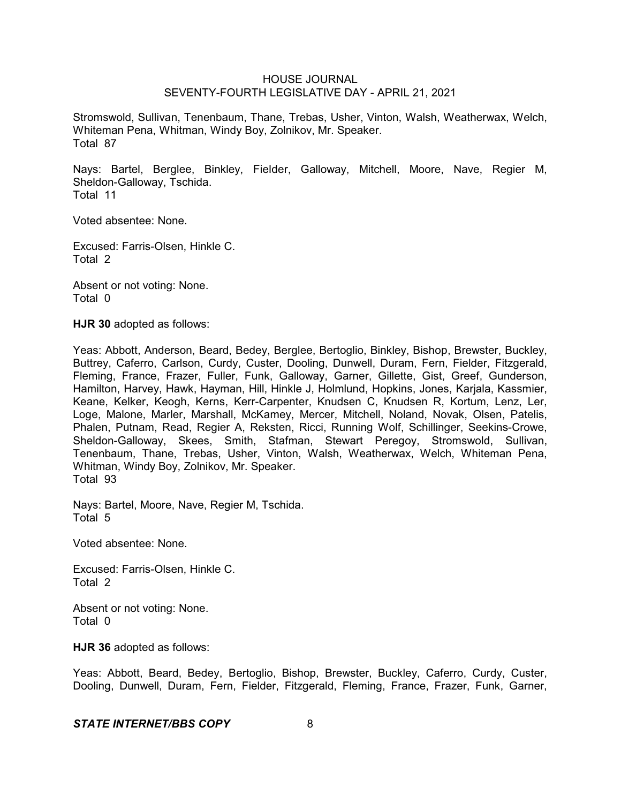Stromswold, Sullivan, Tenenbaum, Thane, Trebas, Usher, Vinton, Walsh, Weatherwax, Welch, Whiteman Pena, Whitman, Windy Boy, Zolnikov, Mr. Speaker. Total 87

Nays: Bartel, Berglee, Binkley, Fielder, Galloway, Mitchell, Moore, Nave, Regier M, Sheldon-Galloway, Tschida. Total 11

Voted absentee: None.

Excused: Farris-Olsen, Hinkle C. Total 2

Absent or not voting: None. Total 0

**HJR 30** adopted as follows:

Yeas: Abbott, Anderson, Beard, Bedey, Berglee, Bertoglio, Binkley, Bishop, Brewster, Buckley, Buttrey, Caferro, Carlson, Curdy, Custer, Dooling, Dunwell, Duram, Fern, Fielder, Fitzgerald, Fleming, France, Frazer, Fuller, Funk, Galloway, Garner, Gillette, Gist, Greef, Gunderson, Hamilton, Harvey, Hawk, Hayman, Hill, Hinkle J, Holmlund, Hopkins, Jones, Karjala, Kassmier, Keane, Kelker, Keogh, Kerns, Kerr-Carpenter, Knudsen C, Knudsen R, Kortum, Lenz, Ler, Loge, Malone, Marler, Marshall, McKamey, Mercer, Mitchell, Noland, Novak, Olsen, Patelis, Phalen, Putnam, Read, Regier A, Reksten, Ricci, Running Wolf, Schillinger, Seekins-Crowe, Sheldon-Galloway, Skees, Smith, Stafman, Stewart Peregoy, Stromswold, Sullivan, Tenenbaum, Thane, Trebas, Usher, Vinton, Walsh, Weatherwax, Welch, Whiteman Pena, Whitman, Windy Boy, Zolnikov, Mr. Speaker. Total 93

Nays: Bartel, Moore, Nave, Regier M, Tschida. Total 5

Voted absentee: None.

Excused: Farris-Olsen, Hinkle C. Total 2

Absent or not voting: None. Total 0

**HJR 36** adopted as follows:

Yeas: Abbott, Beard, Bedey, Bertoglio, Bishop, Brewster, Buckley, Caferro, Curdy, Custer, Dooling, Dunwell, Duram, Fern, Fielder, Fitzgerald, Fleming, France, Frazer, Funk, Garner,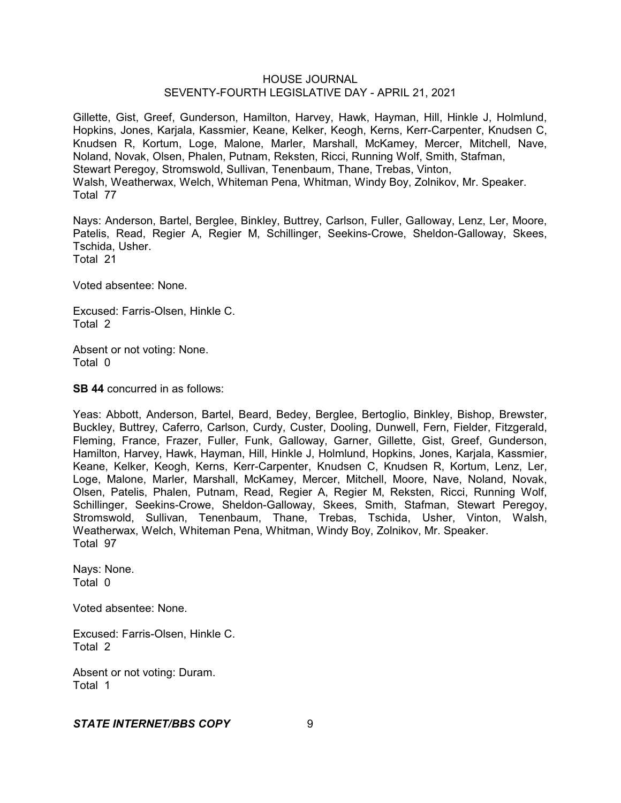Gillette, Gist, Greef, Gunderson, Hamilton, Harvey, Hawk, Hayman, Hill, Hinkle J, Holmlund, Hopkins, Jones, Karjala, Kassmier, Keane, Kelker, Keogh, Kerns, Kerr-Carpenter, Knudsen C, Knudsen R, Kortum, Loge, Malone, Marler, Marshall, McKamey, Mercer, Mitchell, Nave, Noland, Novak, Olsen, Phalen, Putnam, Reksten, Ricci, Running Wolf, Smith, Stafman, Stewart Peregoy, Stromswold, Sullivan, Tenenbaum, Thane, Trebas, Vinton, Walsh, Weatherwax, Welch, Whiteman Pena, Whitman, Windy Boy, Zolnikov, Mr. Speaker. Total 77

Nays: Anderson, Bartel, Berglee, Binkley, Buttrey, Carlson, Fuller, Galloway, Lenz, Ler, Moore, Patelis, Read, Regier A, Regier M, Schillinger, Seekins-Crowe, Sheldon-Galloway, Skees, Tschida, Usher. Total 21

Voted absentee: None.

Excused: Farris-Olsen, Hinkle C. Total 2

Absent or not voting: None. Total 0

**SB 44** concurred in as follows:

Yeas: Abbott, Anderson, Bartel, Beard, Bedey, Berglee, Bertoglio, Binkley, Bishop, Brewster, Buckley, Buttrey, Caferro, Carlson, Curdy, Custer, Dooling, Dunwell, Fern, Fielder, Fitzgerald, Fleming, France, Frazer, Fuller, Funk, Galloway, Garner, Gillette, Gist, Greef, Gunderson, Hamilton, Harvey, Hawk, Hayman, Hill, Hinkle J, Holmlund, Hopkins, Jones, Karjala, Kassmier, Keane, Kelker, Keogh, Kerns, Kerr-Carpenter, Knudsen C, Knudsen R, Kortum, Lenz, Ler, Loge, Malone, Marler, Marshall, McKamey, Mercer, Mitchell, Moore, Nave, Noland, Novak, Olsen, Patelis, Phalen, Putnam, Read, Regier A, Regier M, Reksten, Ricci, Running Wolf, Schillinger, Seekins-Crowe, Sheldon-Galloway, Skees, Smith, Stafman, Stewart Peregoy, Stromswold, Sullivan, Tenenbaum, Thane, Trebas, Tschida, Usher, Vinton, Walsh, Weatherwax, Welch, Whiteman Pena, Whitman, Windy Boy, Zolnikov, Mr. Speaker. Total 97

Nays: None. Total 0

Voted absentee: None.

Excused: Farris-Olsen, Hinkle C. Total 2

Absent or not voting: Duram. Total 1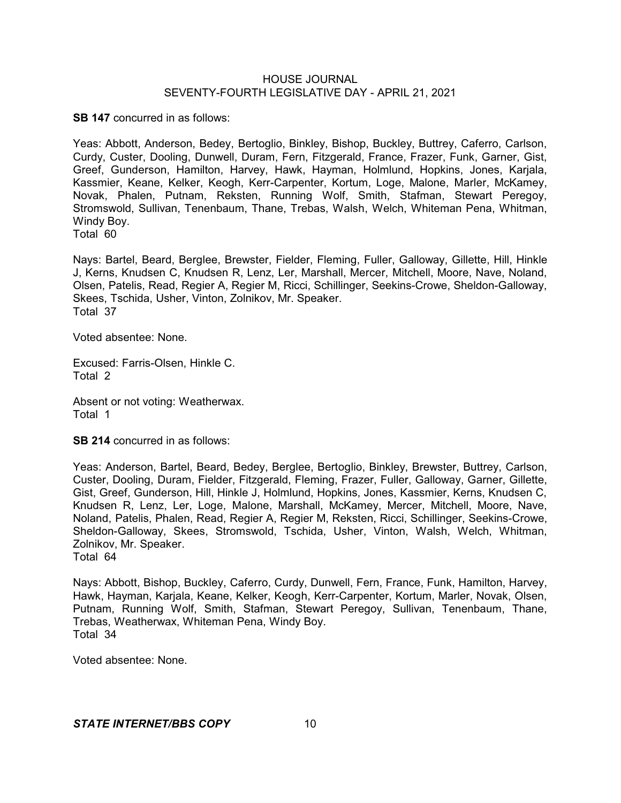**SB 147** concurred in as follows:

Yeas: Abbott, Anderson, Bedey, Bertoglio, Binkley, Bishop, Buckley, Buttrey, Caferro, Carlson, Curdy, Custer, Dooling, Dunwell, Duram, Fern, Fitzgerald, France, Frazer, Funk, Garner, Gist, Greef, Gunderson, Hamilton, Harvey, Hawk, Hayman, Holmlund, Hopkins, Jones, Karjala, Kassmier, Keane, Kelker, Keogh, Kerr-Carpenter, Kortum, Loge, Malone, Marler, McKamey, Novak, Phalen, Putnam, Reksten, Running Wolf, Smith, Stafman, Stewart Peregoy, Stromswold, Sullivan, Tenenbaum, Thane, Trebas, Walsh, Welch, Whiteman Pena, Whitman, Windy Boy.

Total 60

Nays: Bartel, Beard, Berglee, Brewster, Fielder, Fleming, Fuller, Galloway, Gillette, Hill, Hinkle J, Kerns, Knudsen C, Knudsen R, Lenz, Ler, Marshall, Mercer, Mitchell, Moore, Nave, Noland, Olsen, Patelis, Read, Regier A, Regier M, Ricci, Schillinger, Seekins-Crowe, Sheldon-Galloway, Skees, Tschida, Usher, Vinton, Zolnikov, Mr. Speaker. Total 37

Voted absentee: None.

Excused: Farris-Olsen, Hinkle C. Total 2

Absent or not voting: Weatherwax. Total 1

**SB 214** concurred in as follows:

Yeas: Anderson, Bartel, Beard, Bedey, Berglee, Bertoglio, Binkley, Brewster, Buttrey, Carlson, Custer, Dooling, Duram, Fielder, Fitzgerald, Fleming, Frazer, Fuller, Galloway, Garner, Gillette, Gist, Greef, Gunderson, Hill, Hinkle J, Holmlund, Hopkins, Jones, Kassmier, Kerns, Knudsen C, Knudsen R, Lenz, Ler, Loge, Malone, Marshall, McKamey, Mercer, Mitchell, Moore, Nave, Noland, Patelis, Phalen, Read, Regier A, Regier M, Reksten, Ricci, Schillinger, Seekins-Crowe, Sheldon-Galloway, Skees, Stromswold, Tschida, Usher, Vinton, Walsh, Welch, Whitman, Zolnikov, Mr. Speaker.

Total 64

Nays: Abbott, Bishop, Buckley, Caferro, Curdy, Dunwell, Fern, France, Funk, Hamilton, Harvey, Hawk, Hayman, Karjala, Keane, Kelker, Keogh, Kerr-Carpenter, Kortum, Marler, Novak, Olsen, Putnam, Running Wolf, Smith, Stafman, Stewart Peregoy, Sullivan, Tenenbaum, Thane, Trebas, Weatherwax, Whiteman Pena, Windy Boy. Total 34

Voted absentee: None.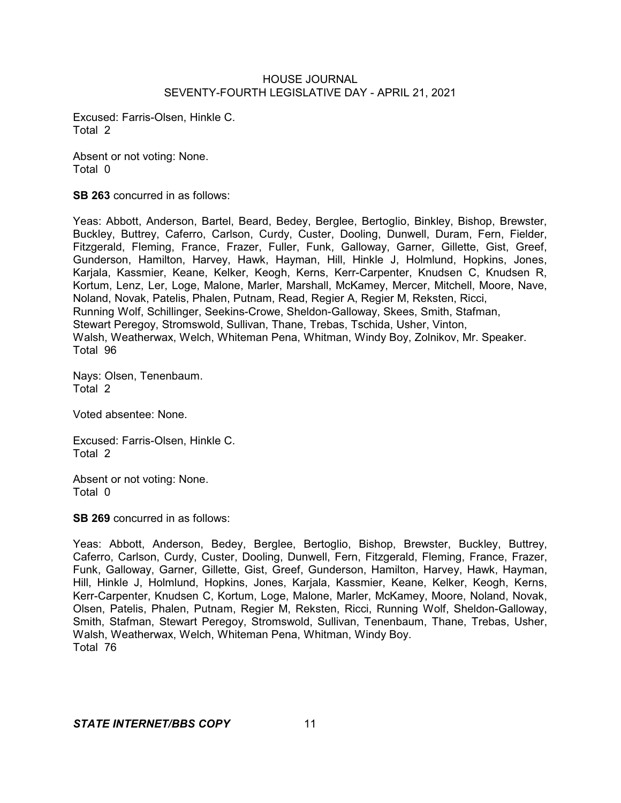Excused: Farris-Olsen, Hinkle C. Total 2

Absent or not voting: None. Total 0

**SB 263** concurred in as follows:

Yeas: Abbott, Anderson, Bartel, Beard, Bedey, Berglee, Bertoglio, Binkley, Bishop, Brewster, Buckley, Buttrey, Caferro, Carlson, Curdy, Custer, Dooling, Dunwell, Duram, Fern, Fielder, Fitzgerald, Fleming, France, Frazer, Fuller, Funk, Galloway, Garner, Gillette, Gist, Greef, Gunderson, Hamilton, Harvey, Hawk, Hayman, Hill, Hinkle J, Holmlund, Hopkins, Jones, Karjala, Kassmier, Keane, Kelker, Keogh, Kerns, Kerr-Carpenter, Knudsen C, Knudsen R, Kortum, Lenz, Ler, Loge, Malone, Marler, Marshall, McKamey, Mercer, Mitchell, Moore, Nave, Noland, Novak, Patelis, Phalen, Putnam, Read, Regier A, Regier M, Reksten, Ricci, Running Wolf, Schillinger, Seekins-Crowe, Sheldon-Galloway, Skees, Smith, Stafman, Stewart Peregoy, Stromswold, Sullivan, Thane, Trebas, Tschida, Usher, Vinton, Walsh, Weatherwax, Welch, Whiteman Pena, Whitman, Windy Boy, Zolnikov, Mr. Speaker. Total 96

Nays: Olsen, Tenenbaum. Total 2

Voted absentee: None.

Excused: Farris-Olsen, Hinkle C. Total 2

Absent or not voting: None. Total 0

**SB 269** concurred in as follows:

Yeas: Abbott, Anderson, Bedey, Berglee, Bertoglio, Bishop, Brewster, Buckley, Buttrey, Caferro, Carlson, Curdy, Custer, Dooling, Dunwell, Fern, Fitzgerald, Fleming, France, Frazer, Funk, Galloway, Garner, Gillette, Gist, Greef, Gunderson, Hamilton, Harvey, Hawk, Hayman, Hill, Hinkle J, Holmlund, Hopkins, Jones, Karjala, Kassmier, Keane, Kelker, Keogh, Kerns, Kerr-Carpenter, Knudsen C, Kortum, Loge, Malone, Marler, McKamey, Moore, Noland, Novak, Olsen, Patelis, Phalen, Putnam, Regier M, Reksten, Ricci, Running Wolf, Sheldon-Galloway, Smith, Stafman, Stewart Peregoy, Stromswold, Sullivan, Tenenbaum, Thane, Trebas, Usher, Walsh, Weatherwax, Welch, Whiteman Pena, Whitman, Windy Boy. Total 76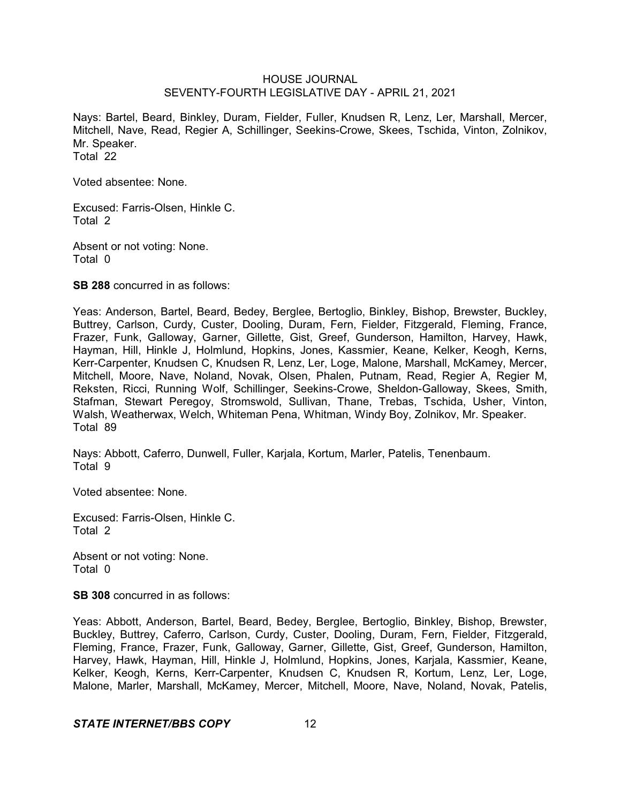Nays: Bartel, Beard, Binkley, Duram, Fielder, Fuller, Knudsen R, Lenz, Ler, Marshall, Mercer, Mitchell, Nave, Read, Regier A, Schillinger, Seekins-Crowe, Skees, Tschida, Vinton, Zolnikov, Mr. Speaker. Total 22

Voted absentee: None.

Excused: Farris-Olsen, Hinkle C. Total 2

Absent or not voting: None. Total 0

**SB 288** concurred in as follows:

Yeas: Anderson, Bartel, Beard, Bedey, Berglee, Bertoglio, Binkley, Bishop, Brewster, Buckley, Buttrey, Carlson, Curdy, Custer, Dooling, Duram, Fern, Fielder, Fitzgerald, Fleming, France, Frazer, Funk, Galloway, Garner, Gillette, Gist, Greef, Gunderson, Hamilton, Harvey, Hawk, Hayman, Hill, Hinkle J, Holmlund, Hopkins, Jones, Kassmier, Keane, Kelker, Keogh, Kerns, Kerr-Carpenter, Knudsen C, Knudsen R, Lenz, Ler, Loge, Malone, Marshall, McKamey, Mercer, Mitchell, Moore, Nave, Noland, Novak, Olsen, Phalen, Putnam, Read, Regier A, Regier M, Reksten, Ricci, Running Wolf, Schillinger, Seekins-Crowe, Sheldon-Galloway, Skees, Smith, Stafman, Stewart Peregoy, Stromswold, Sullivan, Thane, Trebas, Tschida, Usher, Vinton, Walsh, Weatherwax, Welch, Whiteman Pena, Whitman, Windy Boy, Zolnikov, Mr. Speaker. Total 89

Nays: Abbott, Caferro, Dunwell, Fuller, Karjala, Kortum, Marler, Patelis, Tenenbaum. Total 9

Voted absentee: None.

Excused: Farris-Olsen, Hinkle C. Total 2

Absent or not voting: None. Total 0

**SB 308** concurred in as follows:

Yeas: Abbott, Anderson, Bartel, Beard, Bedey, Berglee, Bertoglio, Binkley, Bishop, Brewster, Buckley, Buttrey, Caferro, Carlson, Curdy, Custer, Dooling, Duram, Fern, Fielder, Fitzgerald, Fleming, France, Frazer, Funk, Galloway, Garner, Gillette, Gist, Greef, Gunderson, Hamilton, Harvey, Hawk, Hayman, Hill, Hinkle J, Holmlund, Hopkins, Jones, Karjala, Kassmier, Keane, Kelker, Keogh, Kerns, Kerr-Carpenter, Knudsen C, Knudsen R, Kortum, Lenz, Ler, Loge, Malone, Marler, Marshall, McKamey, Mercer, Mitchell, Moore, Nave, Noland, Novak, Patelis,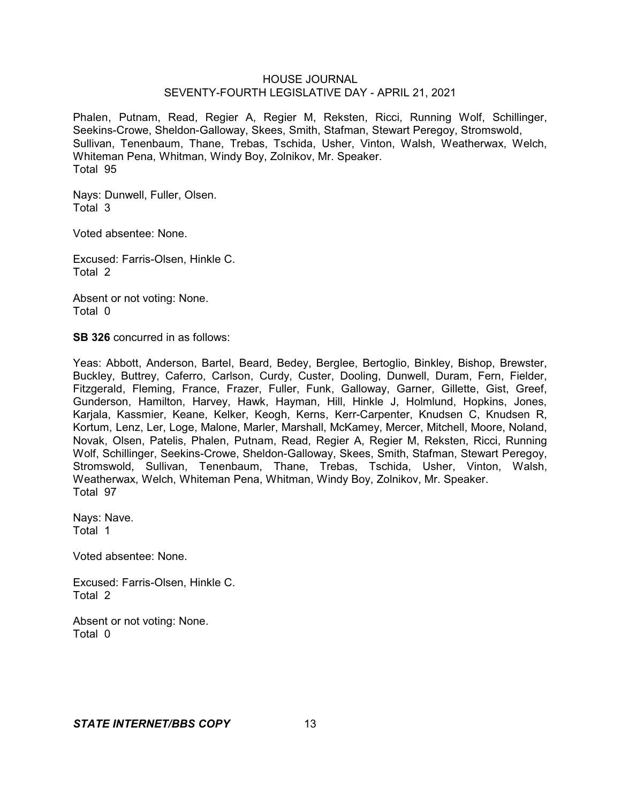Phalen, Putnam, Read, Regier A, Regier M, Reksten, Ricci, Running Wolf, Schillinger, Seekins-Crowe, Sheldon-Galloway, Skees, Smith, Stafman, Stewart Peregoy, Stromswold, Sullivan, Tenenbaum, Thane, Trebas, Tschida, Usher, Vinton, Walsh, Weatherwax, Welch, Whiteman Pena, Whitman, Windy Boy, Zolnikov, Mr. Speaker. Total 95

Nays: Dunwell, Fuller, Olsen. Total 3

Voted absentee: None.

Excused: Farris-Olsen, Hinkle C. Total 2

Absent or not voting: None. Total 0

**SB 326** concurred in as follows:

Yeas: Abbott, Anderson, Bartel, Beard, Bedey, Berglee, Bertoglio, Binkley, Bishop, Brewster, Buckley, Buttrey, Caferro, Carlson, Curdy, Custer, Dooling, Dunwell, Duram, Fern, Fielder, Fitzgerald, Fleming, France, Frazer, Fuller, Funk, Galloway, Garner, Gillette, Gist, Greef, Gunderson, Hamilton, Harvey, Hawk, Hayman, Hill, Hinkle J, Holmlund, Hopkins, Jones, Karjala, Kassmier, Keane, Kelker, Keogh, Kerns, Kerr-Carpenter, Knudsen C, Knudsen R, Kortum, Lenz, Ler, Loge, Malone, Marler, Marshall, McKamey, Mercer, Mitchell, Moore, Noland, Novak, Olsen, Patelis, Phalen, Putnam, Read, Regier A, Regier M, Reksten, Ricci, Running Wolf, Schillinger, Seekins-Crowe, Sheldon-Galloway, Skees, Smith, Stafman, Stewart Peregoy, Stromswold, Sullivan, Tenenbaum, Thane, Trebas, Tschida, Usher, Vinton, Walsh, Weatherwax, Welch, Whiteman Pena, Whitman, Windy Boy, Zolnikov, Mr. Speaker. Total 97

Nays: Nave. Total 1

Voted absentee: None.

Excused: Farris-Olsen, Hinkle C. Total 2

Absent or not voting: None. Total 0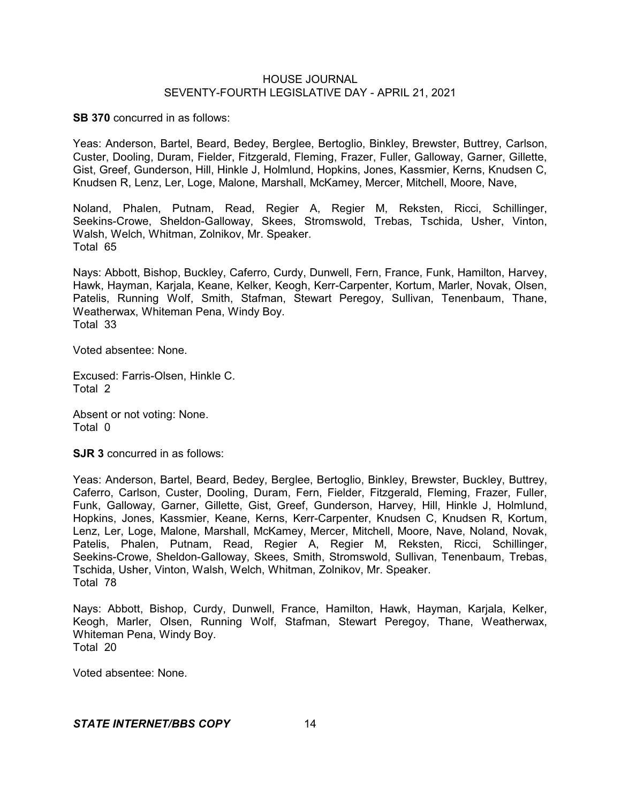**SB 370** concurred in as follows:

Yeas: Anderson, Bartel, Beard, Bedey, Berglee, Bertoglio, Binkley, Brewster, Buttrey, Carlson, Custer, Dooling, Duram, Fielder, Fitzgerald, Fleming, Frazer, Fuller, Galloway, Garner, Gillette, Gist, Greef, Gunderson, Hill, Hinkle J, Holmlund, Hopkins, Jones, Kassmier, Kerns, Knudsen C, Knudsen R, Lenz, Ler, Loge, Malone, Marshall, McKamey, Mercer, Mitchell, Moore, Nave,

Noland, Phalen, Putnam, Read, Regier A, Regier M, Reksten, Ricci, Schillinger, Seekins-Crowe, Sheldon-Galloway, Skees, Stromswold, Trebas, Tschida, Usher, Vinton, Walsh, Welch, Whitman, Zolnikov, Mr. Speaker. Total 65

Nays: Abbott, Bishop, Buckley, Caferro, Curdy, Dunwell, Fern, France, Funk, Hamilton, Harvey, Hawk, Hayman, Karjala, Keane, Kelker, Keogh, Kerr-Carpenter, Kortum, Marler, Novak, Olsen, Patelis, Running Wolf, Smith, Stafman, Stewart Peregoy, Sullivan, Tenenbaum, Thane, Weatherwax, Whiteman Pena, Windy Boy. Total 33

Voted absentee: None.

Excused: Farris-Olsen, Hinkle C. Total 2

Absent or not voting: None. Total 0

**SJR 3** concurred in as follows:

Yeas: Anderson, Bartel, Beard, Bedey, Berglee, Bertoglio, Binkley, Brewster, Buckley, Buttrey, Caferro, Carlson, Custer, Dooling, Duram, Fern, Fielder, Fitzgerald, Fleming, Frazer, Fuller, Funk, Galloway, Garner, Gillette, Gist, Greef, Gunderson, Harvey, Hill, Hinkle J, Holmlund, Hopkins, Jones, Kassmier, Keane, Kerns, Kerr-Carpenter, Knudsen C, Knudsen R, Kortum, Lenz, Ler, Loge, Malone, Marshall, McKamey, Mercer, Mitchell, Moore, Nave, Noland, Novak, Patelis, Phalen, Putnam, Read, Regier A, Regier M, Reksten, Ricci, Schillinger, Seekins-Crowe, Sheldon-Galloway, Skees, Smith, Stromswold, Sullivan, Tenenbaum, Trebas, Tschida, Usher, Vinton, Walsh, Welch, Whitman, Zolnikov, Mr. Speaker. Total 78

Nays: Abbott, Bishop, Curdy, Dunwell, France, Hamilton, Hawk, Hayman, Karjala, Kelker, Keogh, Marler, Olsen, Running Wolf, Stafman, Stewart Peregoy, Thane, Weatherwax, Whiteman Pena, Windy Boy. Total 20

Voted absentee: None.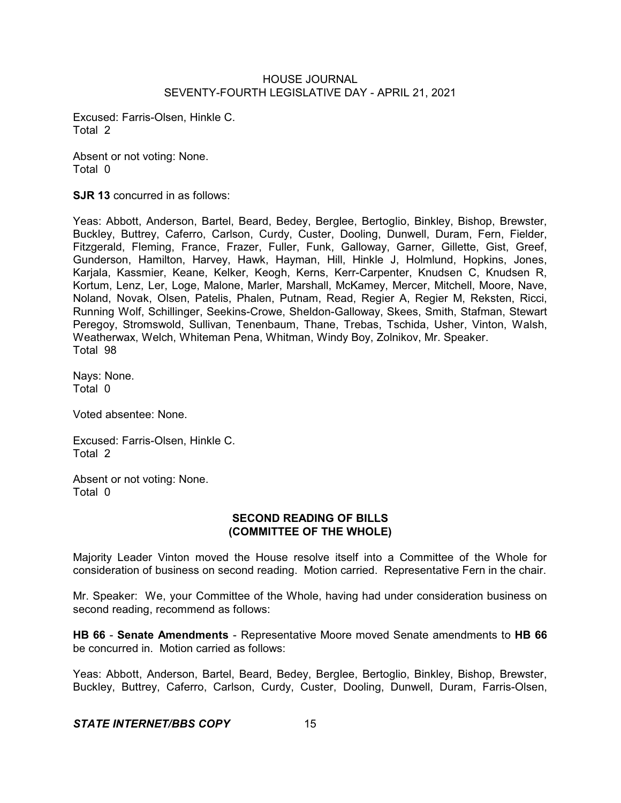Excused: Farris-Olsen, Hinkle C. Total 2

Absent or not voting: None. Total 0

**SJR 13** concurred in as follows:

Yeas: Abbott, Anderson, Bartel, Beard, Bedey, Berglee, Bertoglio, Binkley, Bishop, Brewster, Buckley, Buttrey, Caferro, Carlson, Curdy, Custer, Dooling, Dunwell, Duram, Fern, Fielder, Fitzgerald, Fleming, France, Frazer, Fuller, Funk, Galloway, Garner, Gillette, Gist, Greef, Gunderson, Hamilton, Harvey, Hawk, Hayman, Hill, Hinkle J, Holmlund, Hopkins, Jones, Karjala, Kassmier, Keane, Kelker, Keogh, Kerns, Kerr-Carpenter, Knudsen C, Knudsen R, Kortum, Lenz, Ler, Loge, Malone, Marler, Marshall, McKamey, Mercer, Mitchell, Moore, Nave, Noland, Novak, Olsen, Patelis, Phalen, Putnam, Read, Regier A, Regier M, Reksten, Ricci, Running Wolf, Schillinger, Seekins-Crowe, Sheldon-Galloway, Skees, Smith, Stafman, Stewart Peregoy, Stromswold, Sullivan, Tenenbaum, Thane, Trebas, Tschida, Usher, Vinton, Walsh, Weatherwax, Welch, Whiteman Pena, Whitman, Windy Boy, Zolnikov, Mr. Speaker. Total 98

Nays: None. Total 0

Voted absentee: None.

Excused: Farris-Olsen, Hinkle C. Total 2

Absent or not voting: None. Total 0

### **SECOND READING OF BILLS (COMMITTEE OF THE WHOLE)**

Majority Leader Vinton moved the House resolve itself into a Committee of the Whole for consideration of business on second reading. Motion carried. Representative Fern in the chair.

Mr. Speaker: We, your Committee of the Whole, having had under consideration business on second reading, recommend as follows:

**HB 66** - **Senate Amendments** - Representative Moore moved Senate amendments to **HB 66** be concurred in. Motion carried as follows:

Yeas: Abbott, Anderson, Bartel, Beard, Bedey, Berglee, Bertoglio, Binkley, Bishop, Brewster, Buckley, Buttrey, Caferro, Carlson, Curdy, Custer, Dooling, Dunwell, Duram, Farris-Olsen,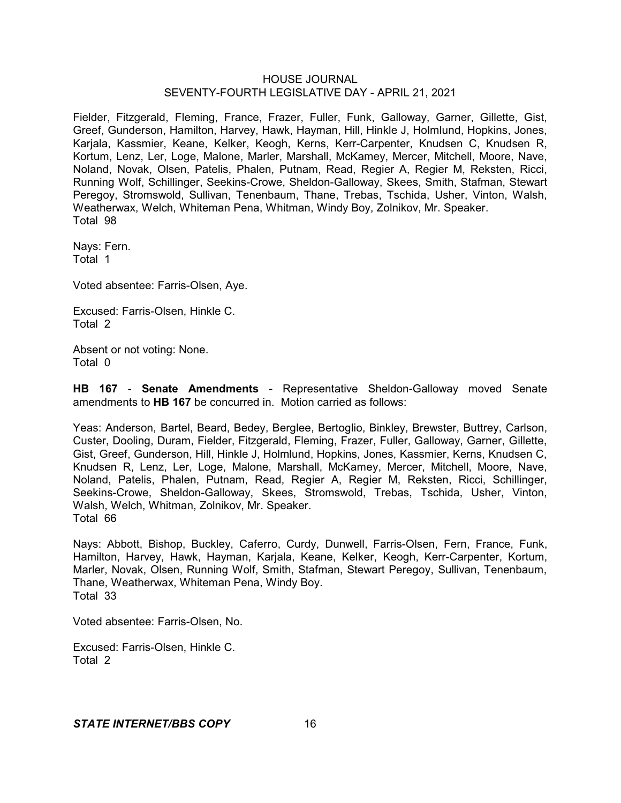Fielder, Fitzgerald, Fleming, France, Frazer, Fuller, Funk, Galloway, Garner, Gillette, Gist, Greef, Gunderson, Hamilton, Harvey, Hawk, Hayman, Hill, Hinkle J, Holmlund, Hopkins, Jones, Karjala, Kassmier, Keane, Kelker, Keogh, Kerns, Kerr-Carpenter, Knudsen C, Knudsen R, Kortum, Lenz, Ler, Loge, Malone, Marler, Marshall, McKamey, Mercer, Mitchell, Moore, Nave, Noland, Novak, Olsen, Patelis, Phalen, Putnam, Read, Regier A, Regier M, Reksten, Ricci, Running Wolf, Schillinger, Seekins-Crowe, Sheldon-Galloway, Skees, Smith, Stafman, Stewart Peregoy, Stromswold, Sullivan, Tenenbaum, Thane, Trebas, Tschida, Usher, Vinton, Walsh, Weatherwax, Welch, Whiteman Pena, Whitman, Windy Boy, Zolnikov, Mr. Speaker. Total 98

Nays: Fern. Total 1

Voted absentee: Farris-Olsen, Aye.

Excused: Farris-Olsen, Hinkle C. Total 2

Absent or not voting: None. Total 0

**HB 167** - **Senate Amendments** - Representative Sheldon-Galloway moved Senate amendments to **HB 167** be concurred in. Motion carried as follows:

Yeas: Anderson, Bartel, Beard, Bedey, Berglee, Bertoglio, Binkley, Brewster, Buttrey, Carlson, Custer, Dooling, Duram, Fielder, Fitzgerald, Fleming, Frazer, Fuller, Galloway, Garner, Gillette, Gist, Greef, Gunderson, Hill, Hinkle J, Holmlund, Hopkins, Jones, Kassmier, Kerns, Knudsen C, Knudsen R, Lenz, Ler, Loge, Malone, Marshall, McKamey, Mercer, Mitchell, Moore, Nave, Noland, Patelis, Phalen, Putnam, Read, Regier A, Regier M, Reksten, Ricci, Schillinger, Seekins-Crowe, Sheldon-Galloway, Skees, Stromswold, Trebas, Tschida, Usher, Vinton, Walsh, Welch, Whitman, Zolnikov, Mr. Speaker. Total 66

Nays: Abbott, Bishop, Buckley, Caferro, Curdy, Dunwell, Farris-Olsen, Fern, France, Funk, Hamilton, Harvey, Hawk, Hayman, Karjala, Keane, Kelker, Keogh, Kerr-Carpenter, Kortum, Marler, Novak, Olsen, Running Wolf, Smith, Stafman, Stewart Peregoy, Sullivan, Tenenbaum, Thane, Weatherwax, Whiteman Pena, Windy Boy. Total 33

Voted absentee: Farris-Olsen, No.

Excused: Farris-Olsen, Hinkle C. Total 2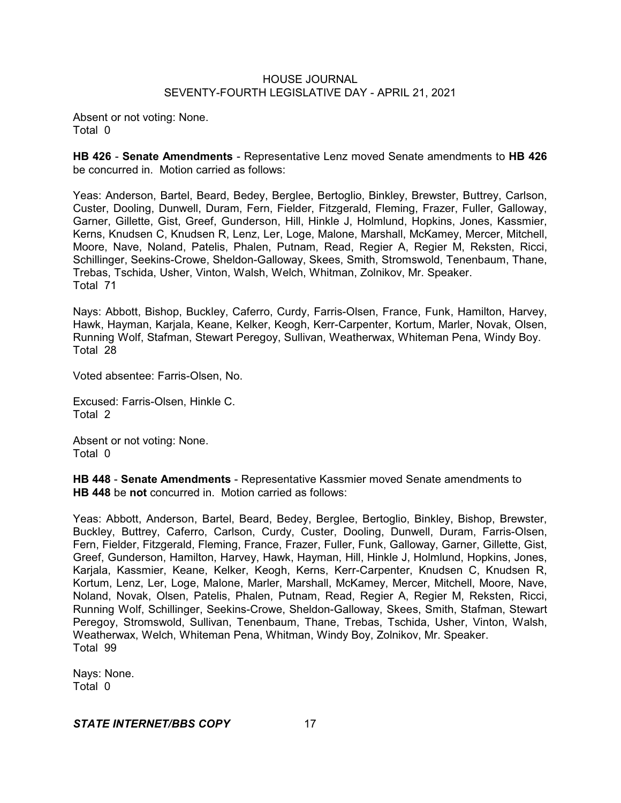Absent or not voting: None. Total 0

**HB 426** - **Senate Amendments** - Representative Lenz moved Senate amendments to **HB 426** be concurred in. Motion carried as follows:

Yeas: Anderson, Bartel, Beard, Bedey, Berglee, Bertoglio, Binkley, Brewster, Buttrey, Carlson, Custer, Dooling, Dunwell, Duram, Fern, Fielder, Fitzgerald, Fleming, Frazer, Fuller, Galloway, Garner, Gillette, Gist, Greef, Gunderson, Hill, Hinkle J, Holmlund, Hopkins, Jones, Kassmier, Kerns, Knudsen C, Knudsen R, Lenz, Ler, Loge, Malone, Marshall, McKamey, Mercer, Mitchell, Moore, Nave, Noland, Patelis, Phalen, Putnam, Read, Regier A, Regier M, Reksten, Ricci, Schillinger, Seekins-Crowe, Sheldon-Galloway, Skees, Smith, Stromswold, Tenenbaum, Thane, Trebas, Tschida, Usher, Vinton, Walsh, Welch, Whitman, Zolnikov, Mr. Speaker. Total 71

Nays: Abbott, Bishop, Buckley, Caferro, Curdy, Farris-Olsen, France, Funk, Hamilton, Harvey, Hawk, Hayman, Karjala, Keane, Kelker, Keogh, Kerr-Carpenter, Kortum, Marler, Novak, Olsen, Running Wolf, Stafman, Stewart Peregoy, Sullivan, Weatherwax, Whiteman Pena, Windy Boy. Total 28

Voted absentee: Farris-Olsen, No.

Excused: Farris-Olsen, Hinkle C. Total 2

Absent or not voting: None. Total 0

**HB 448** - **Senate Amendments** - Representative Kassmier moved Senate amendments to **HB 448** be **not** concurred in. Motion carried as follows:

Yeas: Abbott, Anderson, Bartel, Beard, Bedey, Berglee, Bertoglio, Binkley, Bishop, Brewster, Buckley, Buttrey, Caferro, Carlson, Curdy, Custer, Dooling, Dunwell, Duram, Farris-Olsen, Fern, Fielder, Fitzgerald, Fleming, France, Frazer, Fuller, Funk, Galloway, Garner, Gillette, Gist, Greef, Gunderson, Hamilton, Harvey, Hawk, Hayman, Hill, Hinkle J, Holmlund, Hopkins, Jones, Karjala, Kassmier, Keane, Kelker, Keogh, Kerns, Kerr-Carpenter, Knudsen C, Knudsen R, Kortum, Lenz, Ler, Loge, Malone, Marler, Marshall, McKamey, Mercer, Mitchell, Moore, Nave, Noland, Novak, Olsen, Patelis, Phalen, Putnam, Read, Regier A, Regier M, Reksten, Ricci, Running Wolf, Schillinger, Seekins-Crowe, Sheldon-Galloway, Skees, Smith, Stafman, Stewart Peregoy, Stromswold, Sullivan, Tenenbaum, Thane, Trebas, Tschida, Usher, Vinton, Walsh, Weatherwax, Welch, Whiteman Pena, Whitman, Windy Boy, Zolnikov, Mr. Speaker. Total 99

Nays: None. Total 0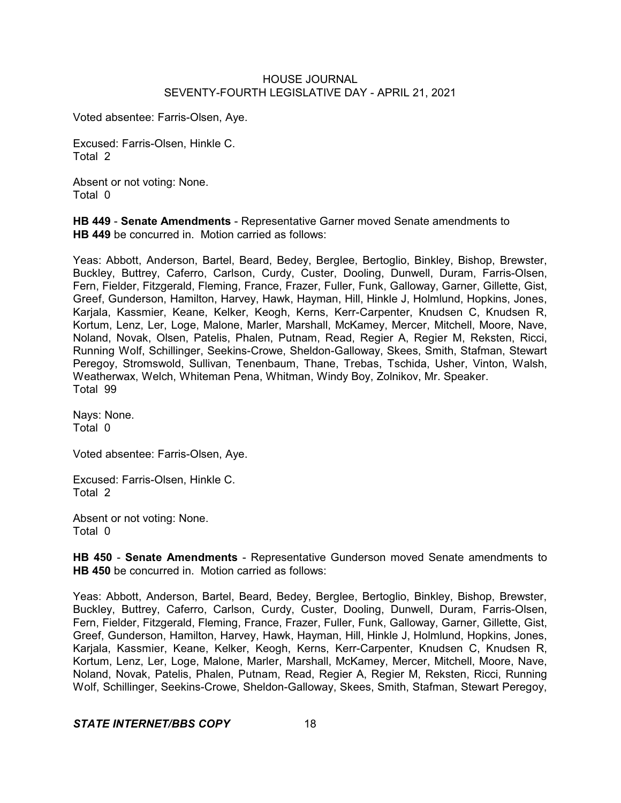Voted absentee: Farris-Olsen, Aye.

Excused: Farris-Olsen, Hinkle C. Total 2

Absent or not voting: None. Total 0

**HB 449** - **Senate Amendments** - Representative Garner moved Senate amendments to **HB 449** be concurred in. Motion carried as follows:

Yeas: Abbott, Anderson, Bartel, Beard, Bedey, Berglee, Bertoglio, Binkley, Bishop, Brewster, Buckley, Buttrey, Caferro, Carlson, Curdy, Custer, Dooling, Dunwell, Duram, Farris-Olsen, Fern, Fielder, Fitzgerald, Fleming, France, Frazer, Fuller, Funk, Galloway, Garner, Gillette, Gist, Greef, Gunderson, Hamilton, Harvey, Hawk, Hayman, Hill, Hinkle J, Holmlund, Hopkins, Jones, Karjala, Kassmier, Keane, Kelker, Keogh, Kerns, Kerr-Carpenter, Knudsen C, Knudsen R, Kortum, Lenz, Ler, Loge, Malone, Marler, Marshall, McKamey, Mercer, Mitchell, Moore, Nave, Noland, Novak, Olsen, Patelis, Phalen, Putnam, Read, Regier A, Regier M, Reksten, Ricci, Running Wolf, Schillinger, Seekins-Crowe, Sheldon-Galloway, Skees, Smith, Stafman, Stewart Peregoy, Stromswold, Sullivan, Tenenbaum, Thane, Trebas, Tschida, Usher, Vinton, Walsh, Weatherwax, Welch, Whiteman Pena, Whitman, Windy Boy, Zolnikov, Mr. Speaker. Total 99

Nays: None. Total 0

Voted absentee: Farris-Olsen, Aye.

Excused: Farris-Olsen, Hinkle C. Total 2

Absent or not voting: None. Total 0

**HB 450** - **Senate Amendments** - Representative Gunderson moved Senate amendments to **HB 450** be concurred in. Motion carried as follows:

Yeas: Abbott, Anderson, Bartel, Beard, Bedey, Berglee, Bertoglio, Binkley, Bishop, Brewster, Buckley, Buttrey, Caferro, Carlson, Curdy, Custer, Dooling, Dunwell, Duram, Farris-Olsen, Fern, Fielder, Fitzgerald, Fleming, France, Frazer, Fuller, Funk, Galloway, Garner, Gillette, Gist, Greef, Gunderson, Hamilton, Harvey, Hawk, Hayman, Hill, Hinkle J, Holmlund, Hopkins, Jones, Karjala, Kassmier, Keane, Kelker, Keogh, Kerns, Kerr-Carpenter, Knudsen C, Knudsen R, Kortum, Lenz, Ler, Loge, Malone, Marler, Marshall, McKamey, Mercer, Mitchell, Moore, Nave, Noland, Novak, Patelis, Phalen, Putnam, Read, Regier A, Regier M, Reksten, Ricci, Running Wolf, Schillinger, Seekins-Crowe, Sheldon-Galloway, Skees, Smith, Stafman, Stewart Peregoy,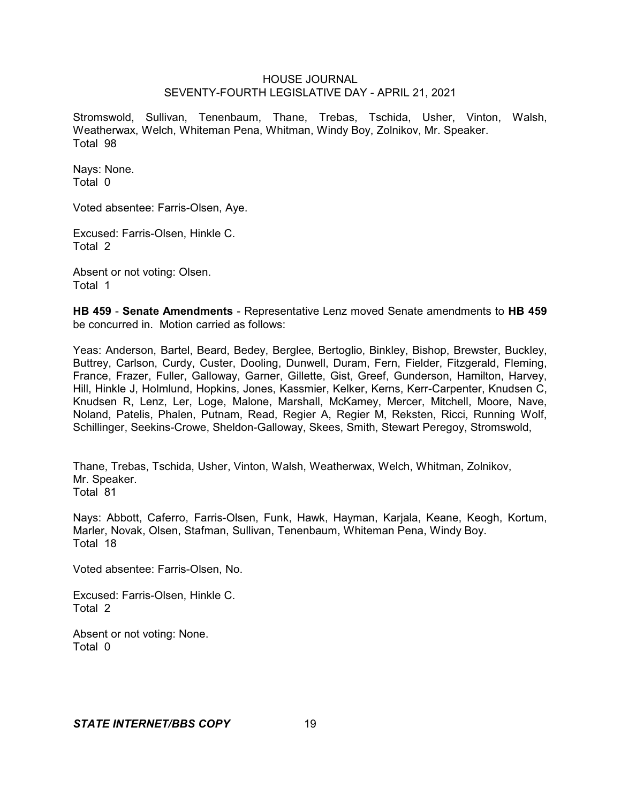Stromswold, Sullivan, Tenenbaum, Thane, Trebas, Tschida, Usher, Vinton, Walsh, Weatherwax, Welch, Whiteman Pena, Whitman, Windy Boy, Zolnikov, Mr. Speaker. Total 98

Nays: None. Total 0

Voted absentee: Farris-Olsen, Aye.

Excused: Farris-Olsen, Hinkle C. Total 2

Absent or not voting: Olsen. Total 1

**HB 459** - **Senate Amendments** - Representative Lenz moved Senate amendments to **HB 459** be concurred in. Motion carried as follows:

Yeas: Anderson, Bartel, Beard, Bedey, Berglee, Bertoglio, Binkley, Bishop, Brewster, Buckley, Buttrey, Carlson, Curdy, Custer, Dooling, Dunwell, Duram, Fern, Fielder, Fitzgerald, Fleming, France, Frazer, Fuller, Galloway, Garner, Gillette, Gist, Greef, Gunderson, Hamilton, Harvey, Hill, Hinkle J, Holmlund, Hopkins, Jones, Kassmier, Kelker, Kerns, Kerr-Carpenter, Knudsen C, Knudsen R, Lenz, Ler, Loge, Malone, Marshall, McKamey, Mercer, Mitchell, Moore, Nave, Noland, Patelis, Phalen, Putnam, Read, Regier A, Regier M, Reksten, Ricci, Running Wolf, Schillinger, Seekins-Crowe, Sheldon-Galloway, Skees, Smith, Stewart Peregoy, Stromswold,

Thane, Trebas, Tschida, Usher, Vinton, Walsh, Weatherwax, Welch, Whitman, Zolnikov, Mr. Speaker. Total 81

Nays: Abbott, Caferro, Farris-Olsen, Funk, Hawk, Hayman, Karjala, Keane, Keogh, Kortum, Marler, Novak, Olsen, Stafman, Sullivan, Tenenbaum, Whiteman Pena, Windy Boy. Total 18

Voted absentee: Farris-Olsen, No.

Excused: Farris-Olsen, Hinkle C. Total 2

Absent or not voting: None. Total 0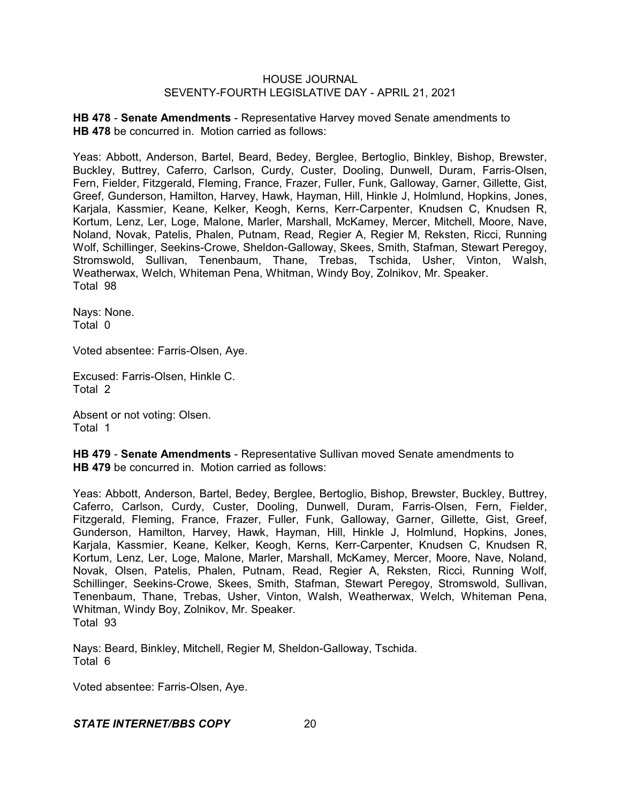**HB 478** - **Senate Amendments** - Representative Harvey moved Senate amendments to **HB 478** be concurred in. Motion carried as follows:

Yeas: Abbott, Anderson, Bartel, Beard, Bedey, Berglee, Bertoglio, Binkley, Bishop, Brewster, Buckley, Buttrey, Caferro, Carlson, Curdy, Custer, Dooling, Dunwell, Duram, Farris-Olsen, Fern, Fielder, Fitzgerald, Fleming, France, Frazer, Fuller, Funk, Galloway, Garner, Gillette, Gist, Greef, Gunderson, Hamilton, Harvey, Hawk, Hayman, Hill, Hinkle J, Holmlund, Hopkins, Jones, Karjala, Kassmier, Keane, Kelker, Keogh, Kerns, Kerr-Carpenter, Knudsen C, Knudsen R, Kortum, Lenz, Ler, Loge, Malone, Marler, Marshall, McKamey, Mercer, Mitchell, Moore, Nave, Noland, Novak, Patelis, Phalen, Putnam, Read, Regier A, Regier M, Reksten, Ricci, Running Wolf, Schillinger, Seekins-Crowe, Sheldon-Galloway, Skees, Smith, Stafman, Stewart Peregoy, Stromswold, Sullivan, Tenenbaum, Thane, Trebas, Tschida, Usher, Vinton, Walsh, Weatherwax, Welch, Whiteman Pena, Whitman, Windy Boy, Zolnikov, Mr. Speaker. Total 98

Nays: None. Total 0

Voted absentee: Farris-Olsen, Aye.

Excused: Farris-Olsen, Hinkle C. Total 2

Absent or not voting: Olsen. Total 1

**HB 479** - **Senate Amendments** - Representative Sullivan moved Senate amendments to **HB 479** be concurred in. Motion carried as follows:

Yeas: Abbott, Anderson, Bartel, Bedey, Berglee, Bertoglio, Bishop, Brewster, Buckley, Buttrey, Caferro, Carlson, Curdy, Custer, Dooling, Dunwell, Duram, Farris-Olsen, Fern, Fielder, Fitzgerald, Fleming, France, Frazer, Fuller, Funk, Galloway, Garner, Gillette, Gist, Greef, Gunderson, Hamilton, Harvey, Hawk, Hayman, Hill, Hinkle J, Holmlund, Hopkins, Jones, Karjala, Kassmier, Keane, Kelker, Keogh, Kerns, Kerr-Carpenter, Knudsen C, Knudsen R, Kortum, Lenz, Ler, Loge, Malone, Marler, Marshall, McKamey, Mercer, Moore, Nave, Noland, Novak, Olsen, Patelis, Phalen, Putnam, Read, Regier A, Reksten, Ricci, Running Wolf, Schillinger, Seekins-Crowe, Skees, Smith, Stafman, Stewart Peregoy, Stromswold, Sullivan, Tenenbaum, Thane, Trebas, Usher, Vinton, Walsh, Weatherwax, Welch, Whiteman Pena, Whitman, Windy Boy, Zolnikov, Mr. Speaker. Total 93

Nays: Beard, Binkley, Mitchell, Regier M, Sheldon-Galloway, Tschida. Total 6

Voted absentee: Farris-Olsen, Aye.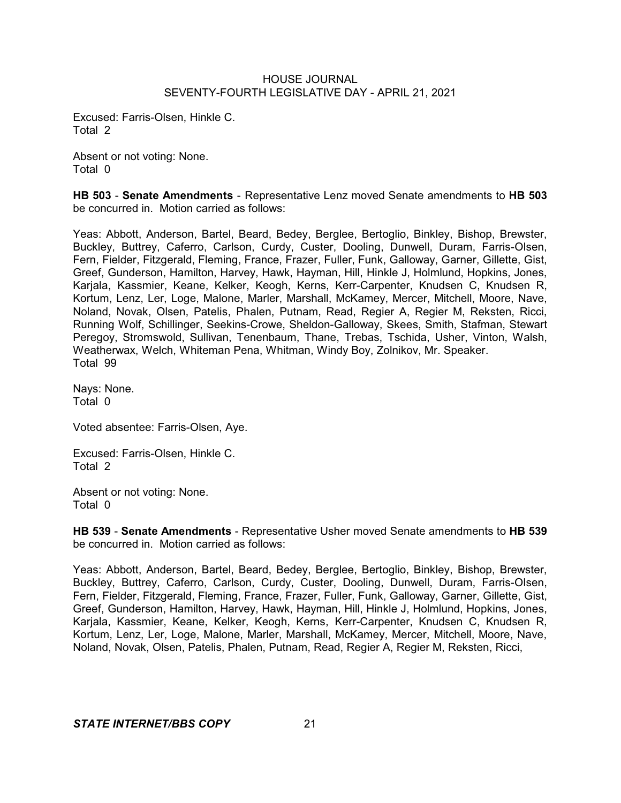Excused: Farris-Olsen, Hinkle C. Total 2

Absent or not voting: None. Total 0

**HB 503** - **Senate Amendments** - Representative Lenz moved Senate amendments to **HB 503** be concurred in. Motion carried as follows:

Yeas: Abbott, Anderson, Bartel, Beard, Bedey, Berglee, Bertoglio, Binkley, Bishop, Brewster, Buckley, Buttrey, Caferro, Carlson, Curdy, Custer, Dooling, Dunwell, Duram, Farris-Olsen, Fern, Fielder, Fitzgerald, Fleming, France, Frazer, Fuller, Funk, Galloway, Garner, Gillette, Gist, Greef, Gunderson, Hamilton, Harvey, Hawk, Hayman, Hill, Hinkle J, Holmlund, Hopkins, Jones, Karjala, Kassmier, Keane, Kelker, Keogh, Kerns, Kerr-Carpenter, Knudsen C, Knudsen R, Kortum, Lenz, Ler, Loge, Malone, Marler, Marshall, McKamey, Mercer, Mitchell, Moore, Nave, Noland, Novak, Olsen, Patelis, Phalen, Putnam, Read, Regier A, Regier M, Reksten, Ricci, Running Wolf, Schillinger, Seekins-Crowe, Sheldon-Galloway, Skees, Smith, Stafman, Stewart Peregoy, Stromswold, Sullivan, Tenenbaum, Thane, Trebas, Tschida, Usher, Vinton, Walsh, Weatherwax, Welch, Whiteman Pena, Whitman, Windy Boy, Zolnikov, Mr. Speaker. Total 99

Nays: None. Total 0

Voted absentee: Farris-Olsen, Aye.

Excused: Farris-Olsen, Hinkle C. Total 2

Absent or not voting: None. Total 0

**HB 539** - **Senate Amendments** - Representative Usher moved Senate amendments to **HB 539** be concurred in. Motion carried as follows:

Yeas: Abbott, Anderson, Bartel, Beard, Bedey, Berglee, Bertoglio, Binkley, Bishop, Brewster, Buckley, Buttrey, Caferro, Carlson, Curdy, Custer, Dooling, Dunwell, Duram, Farris-Olsen, Fern, Fielder, Fitzgerald, Fleming, France, Frazer, Fuller, Funk, Galloway, Garner, Gillette, Gist, Greef, Gunderson, Hamilton, Harvey, Hawk, Hayman, Hill, Hinkle J, Holmlund, Hopkins, Jones, Karjala, Kassmier, Keane, Kelker, Keogh, Kerns, Kerr-Carpenter, Knudsen C, Knudsen R, Kortum, Lenz, Ler, Loge, Malone, Marler, Marshall, McKamey, Mercer, Mitchell, Moore, Nave, Noland, Novak, Olsen, Patelis, Phalen, Putnam, Read, Regier A, Regier M, Reksten, Ricci,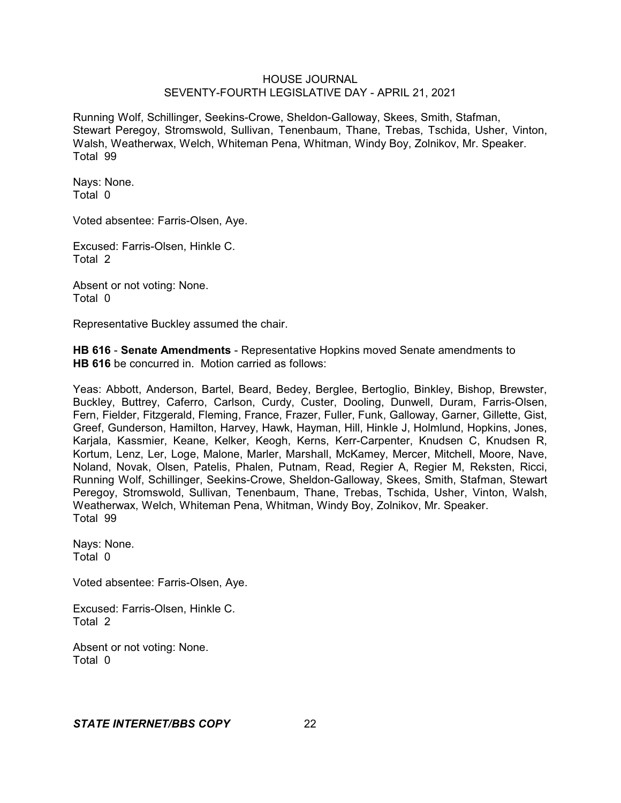Running Wolf, Schillinger, Seekins-Crowe, Sheldon-Galloway, Skees, Smith, Stafman, Stewart Peregoy, Stromswold, Sullivan, Tenenbaum, Thane, Trebas, Tschida, Usher, Vinton, Walsh, Weatherwax, Welch, Whiteman Pena, Whitman, Windy Boy, Zolnikov, Mr. Speaker. Total 99

Nays: None. Total 0

Voted absentee: Farris-Olsen, Aye.

Excused: Farris-Olsen, Hinkle C. Total 2

Absent or not voting: None. Total 0

Representative Buckley assumed the chair.

**HB 616** - **Senate Amendments** - Representative Hopkins moved Senate amendments to **HB 616** be concurred in. Motion carried as follows:

Yeas: Abbott, Anderson, Bartel, Beard, Bedey, Berglee, Bertoglio, Binkley, Bishop, Brewster, Buckley, Buttrey, Caferro, Carlson, Curdy, Custer, Dooling, Dunwell, Duram, Farris-Olsen, Fern, Fielder, Fitzgerald, Fleming, France, Frazer, Fuller, Funk, Galloway, Garner, Gillette, Gist, Greef, Gunderson, Hamilton, Harvey, Hawk, Hayman, Hill, Hinkle J, Holmlund, Hopkins, Jones, Karjala, Kassmier, Keane, Kelker, Keogh, Kerns, Kerr-Carpenter, Knudsen C, Knudsen R, Kortum, Lenz, Ler, Loge, Malone, Marler, Marshall, McKamey, Mercer, Mitchell, Moore, Nave, Noland, Novak, Olsen, Patelis, Phalen, Putnam, Read, Regier A, Regier M, Reksten, Ricci, Running Wolf, Schillinger, Seekins-Crowe, Sheldon-Galloway, Skees, Smith, Stafman, Stewart Peregoy, Stromswold, Sullivan, Tenenbaum, Thane, Trebas, Tschida, Usher, Vinton, Walsh, Weatherwax, Welch, Whiteman Pena, Whitman, Windy Boy, Zolnikov, Mr. Speaker. Total 99

Nays: None. Total 0

Voted absentee: Farris-Olsen, Aye.

Excused: Farris-Olsen, Hinkle C. Total 2

Absent or not voting: None. Total 0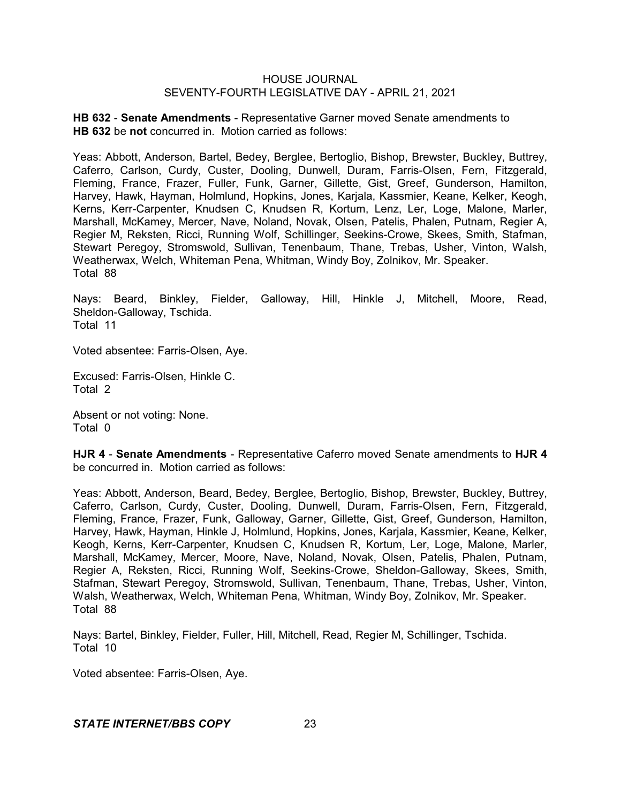**HB 632** - **Senate Amendments** - Representative Garner moved Senate amendments to **HB 632** be **not** concurred in. Motion carried as follows:

Yeas: Abbott, Anderson, Bartel, Bedey, Berglee, Bertoglio, Bishop, Brewster, Buckley, Buttrey, Caferro, Carlson, Curdy, Custer, Dooling, Dunwell, Duram, Farris-Olsen, Fern, Fitzgerald, Fleming, France, Frazer, Fuller, Funk, Garner, Gillette, Gist, Greef, Gunderson, Hamilton, Harvey, Hawk, Hayman, Holmlund, Hopkins, Jones, Karjala, Kassmier, Keane, Kelker, Keogh, Kerns, Kerr-Carpenter, Knudsen C, Knudsen R, Kortum, Lenz, Ler, Loge, Malone, Marler, Marshall, McKamey, Mercer, Nave, Noland, Novak, Olsen, Patelis, Phalen, Putnam, Regier A, Regier M, Reksten, Ricci, Running Wolf, Schillinger, Seekins-Crowe, Skees, Smith, Stafman, Stewart Peregoy, Stromswold, Sullivan, Tenenbaum, Thane, Trebas, Usher, Vinton, Walsh, Weatherwax, Welch, Whiteman Pena, Whitman, Windy Boy, Zolnikov, Mr. Speaker. Total 88

Nays: Beard, Binkley, Fielder, Galloway, Hill, Hinkle J, Mitchell, Moore, Read, Sheldon-Galloway, Tschida. Total 11

Voted absentee: Farris-Olsen, Aye.

Excused: Farris-Olsen, Hinkle C. Total 2

Absent or not voting: None. Total 0

**HJR 4** - **Senate Amendments** - Representative Caferro moved Senate amendments to **HJR 4** be concurred in. Motion carried as follows:

Yeas: Abbott, Anderson, Beard, Bedey, Berglee, Bertoglio, Bishop, Brewster, Buckley, Buttrey, Caferro, Carlson, Curdy, Custer, Dooling, Dunwell, Duram, Farris-Olsen, Fern, Fitzgerald, Fleming, France, Frazer, Funk, Galloway, Garner, Gillette, Gist, Greef, Gunderson, Hamilton, Harvey, Hawk, Hayman, Hinkle J, Holmlund, Hopkins, Jones, Karjala, Kassmier, Keane, Kelker, Keogh, Kerns, Kerr-Carpenter, Knudsen C, Knudsen R, Kortum, Ler, Loge, Malone, Marler, Marshall, McKamey, Mercer, Moore, Nave, Noland, Novak, Olsen, Patelis, Phalen, Putnam, Regier A, Reksten, Ricci, Running Wolf, Seekins-Crowe, Sheldon-Galloway, Skees, Smith, Stafman, Stewart Peregoy, Stromswold, Sullivan, Tenenbaum, Thane, Trebas, Usher, Vinton, Walsh, Weatherwax, Welch, Whiteman Pena, Whitman, Windy Boy, Zolnikov, Mr. Speaker. Total 88

Nays: Bartel, Binkley, Fielder, Fuller, Hill, Mitchell, Read, Regier M, Schillinger, Tschida. Total 10

Voted absentee: Farris-Olsen, Aye.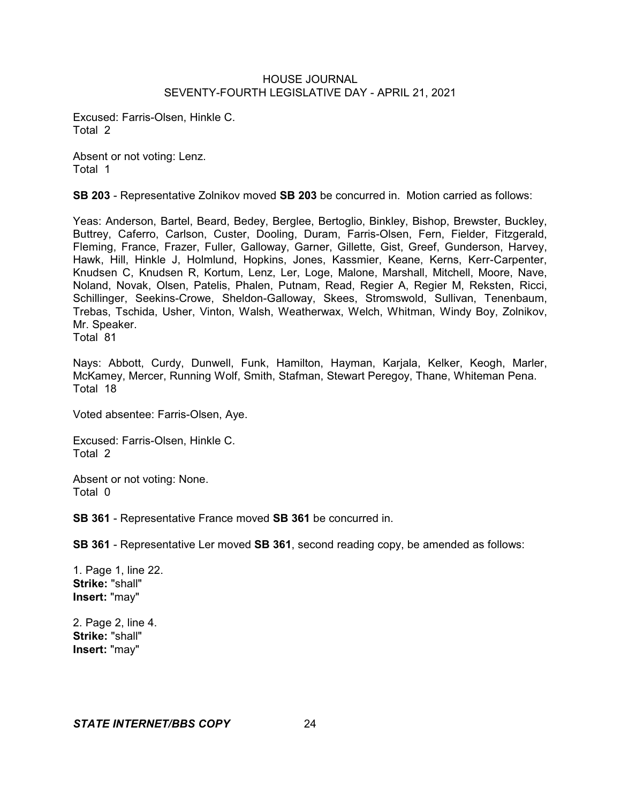Excused: Farris-Olsen, Hinkle C. Total 2

Absent or not voting: Lenz. Total 1

**SB 203** - Representative Zolnikov moved **SB 203** be concurred in. Motion carried as follows:

Yeas: Anderson, Bartel, Beard, Bedey, Berglee, Bertoglio, Binkley, Bishop, Brewster, Buckley, Buttrey, Caferro, Carlson, Custer, Dooling, Duram, Farris-Olsen, Fern, Fielder, Fitzgerald, Fleming, France, Frazer, Fuller, Galloway, Garner, Gillette, Gist, Greef, Gunderson, Harvey, Hawk, Hill, Hinkle J, Holmlund, Hopkins, Jones, Kassmier, Keane, Kerns, Kerr-Carpenter, Knudsen C, Knudsen R, Kortum, Lenz, Ler, Loge, Malone, Marshall, Mitchell, Moore, Nave, Noland, Novak, Olsen, Patelis, Phalen, Putnam, Read, Regier A, Regier M, Reksten, Ricci, Schillinger, Seekins-Crowe, Sheldon-Galloway, Skees, Stromswold, Sullivan, Tenenbaum, Trebas, Tschida, Usher, Vinton, Walsh, Weatherwax, Welch, Whitman, Windy Boy, Zolnikov, Mr. Speaker.

Total 81

Nays: Abbott, Curdy, Dunwell, Funk, Hamilton, Hayman, Karjala, Kelker, Keogh, Marler, McKamey, Mercer, Running Wolf, Smith, Stafman, Stewart Peregoy, Thane, Whiteman Pena. Total 18

Voted absentee: Farris-Olsen, Aye.

Excused: Farris-Olsen, Hinkle C. Total 2

Absent or not voting: None. Total 0

**SB 361** - Representative France moved **SB 361** be concurred in.

**SB 361** - Representative Ler moved **SB 361**, second reading copy, be amended as follows:

1. Page 1, line 22. **Strike:** "shall" **Insert:** "may"

2. Page 2, line 4. **Strike:** "shall" **Insert:** "may"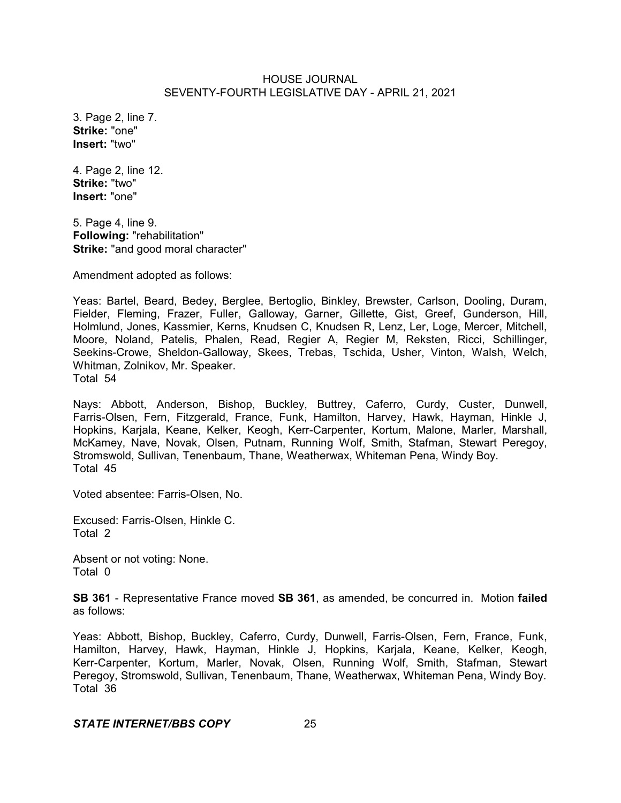3. Page 2, line 7. **Strike:** "one" **Insert:** "two"

4. Page 2, line 12. **Strike:** "two" **Insert:** "one"

5. Page 4, line 9. **Following:** "rehabilitation" **Strike:** "and good moral character"

Amendment adopted as follows:

Yeas: Bartel, Beard, Bedey, Berglee, Bertoglio, Binkley, Brewster, Carlson, Dooling, Duram, Fielder, Fleming, Frazer, Fuller, Galloway, Garner, Gillette, Gist, Greef, Gunderson, Hill, Holmlund, Jones, Kassmier, Kerns, Knudsen C, Knudsen R, Lenz, Ler, Loge, Mercer, Mitchell, Moore, Noland, Patelis, Phalen, Read, Regier A, Regier M, Reksten, Ricci, Schillinger, Seekins-Crowe, Sheldon-Galloway, Skees, Trebas, Tschida, Usher, Vinton, Walsh, Welch, Whitman, Zolnikov, Mr. Speaker. Total 54

Nays: Abbott, Anderson, Bishop, Buckley, Buttrey, Caferro, Curdy, Custer, Dunwell, Farris-Olsen, Fern, Fitzgerald, France, Funk, Hamilton, Harvey, Hawk, Hayman, Hinkle J, Hopkins, Karjala, Keane, Kelker, Keogh, Kerr-Carpenter, Kortum, Malone, Marler, Marshall, McKamey, Nave, Novak, Olsen, Putnam, Running Wolf, Smith, Stafman, Stewart Peregoy, Stromswold, Sullivan, Tenenbaum, Thane, Weatherwax, Whiteman Pena, Windy Boy. Total 45

Voted absentee: Farris-Olsen, No.

Excused: Farris-Olsen, Hinkle C. Total 2

Absent or not voting: None. Total 0

**SB 361** - Representative France moved **SB 361**, as amended, be concurred in. Motion **failed** as follows:

Yeas: Abbott, Bishop, Buckley, Caferro, Curdy, Dunwell, Farris-Olsen, Fern, France, Funk, Hamilton, Harvey, Hawk, Hayman, Hinkle J, Hopkins, Karjala, Keane, Kelker, Keogh, Kerr-Carpenter, Kortum, Marler, Novak, Olsen, Running Wolf, Smith, Stafman, Stewart Peregoy, Stromswold, Sullivan, Tenenbaum, Thane, Weatherwax, Whiteman Pena, Windy Boy. Total 36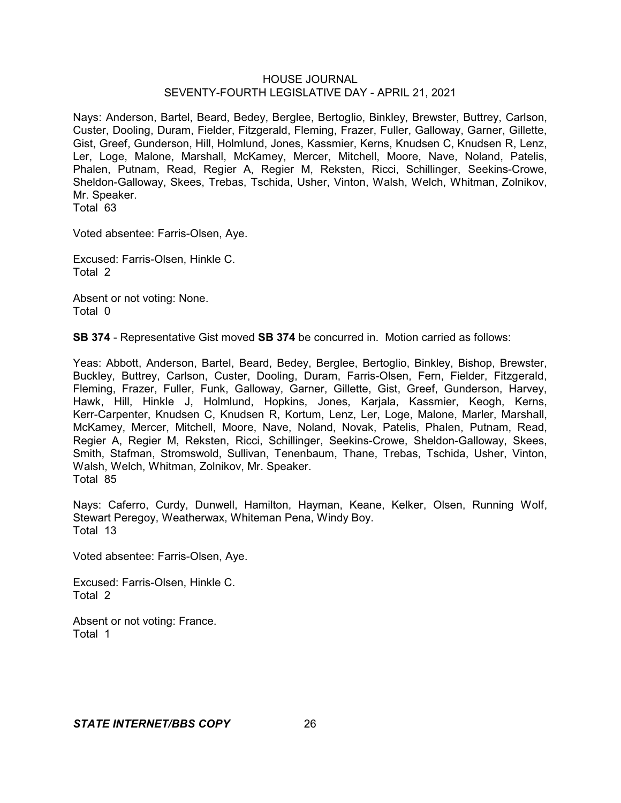Nays: Anderson, Bartel, Beard, Bedey, Berglee, Bertoglio, Binkley, Brewster, Buttrey, Carlson, Custer, Dooling, Duram, Fielder, Fitzgerald, Fleming, Frazer, Fuller, Galloway, Garner, Gillette, Gist, Greef, Gunderson, Hill, Holmlund, Jones, Kassmier, Kerns, Knudsen C, Knudsen R, Lenz, Ler, Loge, Malone, Marshall, McKamey, Mercer, Mitchell, Moore, Nave, Noland, Patelis, Phalen, Putnam, Read, Regier A, Regier M, Reksten, Ricci, Schillinger, Seekins-Crowe, Sheldon-Galloway, Skees, Trebas, Tschida, Usher, Vinton, Walsh, Welch, Whitman, Zolnikov, Mr. Speaker.

Total 63

Voted absentee: Farris-Olsen, Aye.

Excused: Farris-Olsen, Hinkle C. Total 2

Absent or not voting: None. Total 0

**SB 374** - Representative Gist moved **SB 374** be concurred in. Motion carried as follows:

Yeas: Abbott, Anderson, Bartel, Beard, Bedey, Berglee, Bertoglio, Binkley, Bishop, Brewster, Buckley, Buttrey, Carlson, Custer, Dooling, Duram, Farris-Olsen, Fern, Fielder, Fitzgerald, Fleming, Frazer, Fuller, Funk, Galloway, Garner, Gillette, Gist, Greef, Gunderson, Harvey, Hawk, Hill, Hinkle J, Holmlund, Hopkins, Jones, Karjala, Kassmier, Keogh, Kerns, Kerr-Carpenter, Knudsen C, Knudsen R, Kortum, Lenz, Ler, Loge, Malone, Marler, Marshall, McKamey, Mercer, Mitchell, Moore, Nave, Noland, Novak, Patelis, Phalen, Putnam, Read, Regier A, Regier M, Reksten, Ricci, Schillinger, Seekins-Crowe, Sheldon-Galloway, Skees, Smith, Stafman, Stromswold, Sullivan, Tenenbaum, Thane, Trebas, Tschida, Usher, Vinton, Walsh, Welch, Whitman, Zolnikov, Mr. Speaker. Total 85

Nays: Caferro, Curdy, Dunwell, Hamilton, Hayman, Keane, Kelker, Olsen, Running Wolf, Stewart Peregoy, Weatherwax, Whiteman Pena, Windy Boy. Total 13

Voted absentee: Farris-Olsen, Aye.

Excused: Farris-Olsen, Hinkle C. Total 2

Absent or not voting: France. Total 1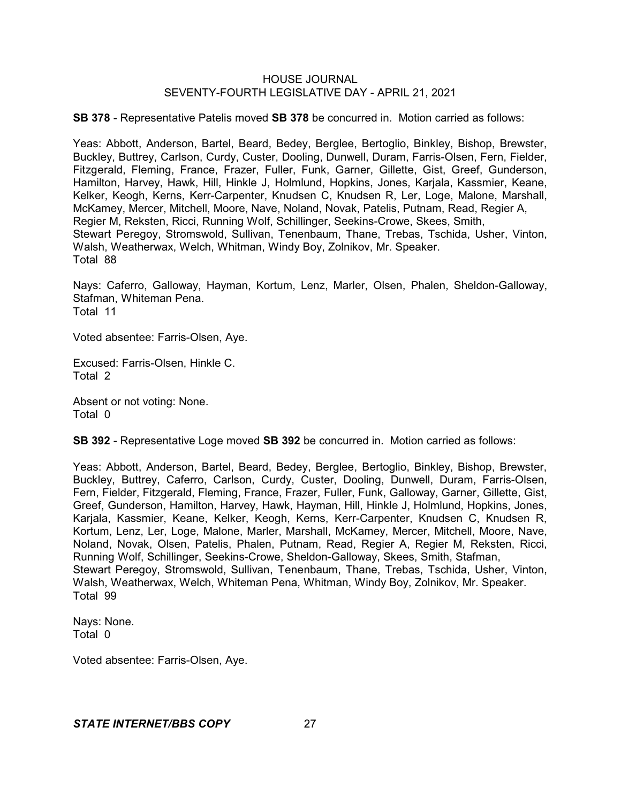**SB 378** - Representative Patelis moved **SB 378** be concurred in. Motion carried as follows:

Yeas: Abbott, Anderson, Bartel, Beard, Bedey, Berglee, Bertoglio, Binkley, Bishop, Brewster, Buckley, Buttrey, Carlson, Curdy, Custer, Dooling, Dunwell, Duram, Farris-Olsen, Fern, Fielder, Fitzgerald, Fleming, France, Frazer, Fuller, Funk, Garner, Gillette, Gist, Greef, Gunderson, Hamilton, Harvey, Hawk, Hill, Hinkle J, Holmlund, Hopkins, Jones, Karjala, Kassmier, Keane, Kelker, Keogh, Kerns, Kerr-Carpenter, Knudsen C, Knudsen R, Ler, Loge, Malone, Marshall, McKamey, Mercer, Mitchell, Moore, Nave, Noland, Novak, Patelis, Putnam, Read, Regier A, Regier M, Reksten, Ricci, Running Wolf, Schillinger, Seekins-Crowe, Skees, Smith, Stewart Peregoy, Stromswold, Sullivan, Tenenbaum, Thane, Trebas, Tschida, Usher, Vinton, Walsh, Weatherwax, Welch, Whitman, Windy Boy, Zolnikov, Mr. Speaker. Total 88

Nays: Caferro, Galloway, Hayman, Kortum, Lenz, Marler, Olsen, Phalen, Sheldon-Galloway, Stafman, Whiteman Pena. Total 11

Voted absentee: Farris-Olsen, Aye.

Excused: Farris-Olsen, Hinkle C. Total 2

Absent or not voting: None. Total 0

**SB 392** - Representative Loge moved **SB 392** be concurred in. Motion carried as follows:

Yeas: Abbott, Anderson, Bartel, Beard, Bedey, Berglee, Bertoglio, Binkley, Bishop, Brewster, Buckley, Buttrey, Caferro, Carlson, Curdy, Custer, Dooling, Dunwell, Duram, Farris-Olsen, Fern, Fielder, Fitzgerald, Fleming, France, Frazer, Fuller, Funk, Galloway, Garner, Gillette, Gist, Greef, Gunderson, Hamilton, Harvey, Hawk, Hayman, Hill, Hinkle J, Holmlund, Hopkins, Jones, Karjala, Kassmier, Keane, Kelker, Keogh, Kerns, Kerr-Carpenter, Knudsen C, Knudsen R, Kortum, Lenz, Ler, Loge, Malone, Marler, Marshall, McKamey, Mercer, Mitchell, Moore, Nave, Noland, Novak, Olsen, Patelis, Phalen, Putnam, Read, Regier A, Regier M, Reksten, Ricci, Running Wolf, Schillinger, Seekins-Crowe, Sheldon-Galloway, Skees, Smith, Stafman, Stewart Peregoy, Stromswold, Sullivan, Tenenbaum, Thane, Trebas, Tschida, Usher, Vinton, Walsh, Weatherwax, Welch, Whiteman Pena, Whitman, Windy Boy, Zolnikov, Mr. Speaker. Total 99

Nays: None. Total 0

Voted absentee: Farris-Olsen, Aye.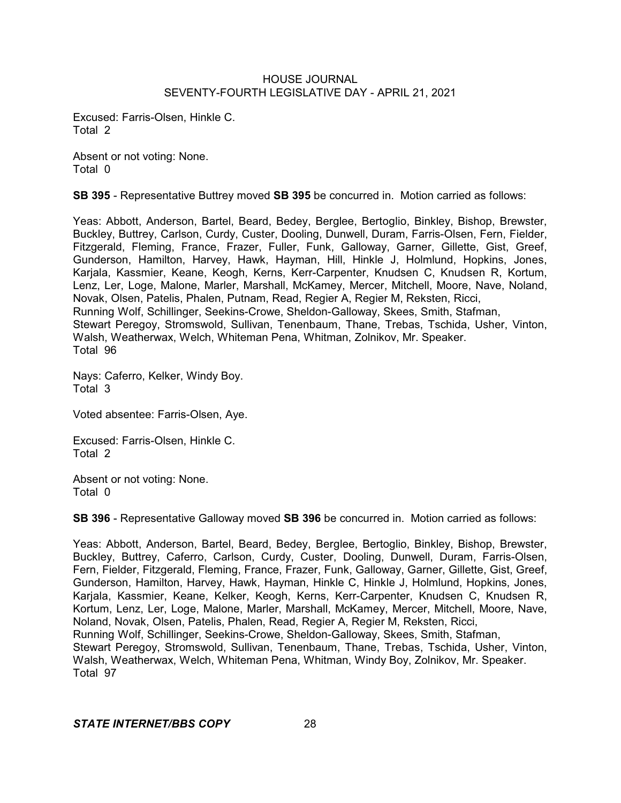Excused: Farris-Olsen, Hinkle C. Total 2

Absent or not voting: None. Total 0

**SB 395** - Representative Buttrey moved **SB 395** be concurred in. Motion carried as follows:

Yeas: Abbott, Anderson, Bartel, Beard, Bedey, Berglee, Bertoglio, Binkley, Bishop, Brewster, Buckley, Buttrey, Carlson, Curdy, Custer, Dooling, Dunwell, Duram, Farris-Olsen, Fern, Fielder, Fitzgerald, Fleming, France, Frazer, Fuller, Funk, Galloway, Garner, Gillette, Gist, Greef, Gunderson, Hamilton, Harvey, Hawk, Hayman, Hill, Hinkle J, Holmlund, Hopkins, Jones, Karjala, Kassmier, Keane, Keogh, Kerns, Kerr-Carpenter, Knudsen C, Knudsen R, Kortum, Lenz, Ler, Loge, Malone, Marler, Marshall, McKamey, Mercer, Mitchell, Moore, Nave, Noland, Novak, Olsen, Patelis, Phalen, Putnam, Read, Regier A, Regier M, Reksten, Ricci, Running Wolf, Schillinger, Seekins-Crowe, Sheldon-Galloway, Skees, Smith, Stafman, Stewart Peregoy, Stromswold, Sullivan, Tenenbaum, Thane, Trebas, Tschida, Usher, Vinton, Walsh, Weatherwax, Welch, Whiteman Pena, Whitman, Zolnikov, Mr. Speaker. Total 96

Nays: Caferro, Kelker, Windy Boy. Total 3

Voted absentee: Farris-Olsen, Aye.

Excused: Farris-Olsen, Hinkle C. Total 2

Absent or not voting: None. Total 0

**SB 396** - Representative Galloway moved **SB 396** be concurred in. Motion carried as follows:

Yeas: Abbott, Anderson, Bartel, Beard, Bedey, Berglee, Bertoglio, Binkley, Bishop, Brewster, Buckley, Buttrey, Caferro, Carlson, Curdy, Custer, Dooling, Dunwell, Duram, Farris-Olsen, Fern, Fielder, Fitzgerald, Fleming, France, Frazer, Funk, Galloway, Garner, Gillette, Gist, Greef, Gunderson, Hamilton, Harvey, Hawk, Hayman, Hinkle C, Hinkle J, Holmlund, Hopkins, Jones, Karjala, Kassmier, Keane, Kelker, Keogh, Kerns, Kerr-Carpenter, Knudsen C, Knudsen R, Kortum, Lenz, Ler, Loge, Malone, Marler, Marshall, McKamey, Mercer, Mitchell, Moore, Nave, Noland, Novak, Olsen, Patelis, Phalen, Read, Regier A, Regier M, Reksten, Ricci, Running Wolf, Schillinger, Seekins-Crowe, Sheldon-Galloway, Skees, Smith, Stafman, Stewart Peregoy, Stromswold, Sullivan, Tenenbaum, Thane, Trebas, Tschida, Usher, Vinton, Walsh, Weatherwax, Welch, Whiteman Pena, Whitman, Windy Boy, Zolnikov, Mr. Speaker. Total 97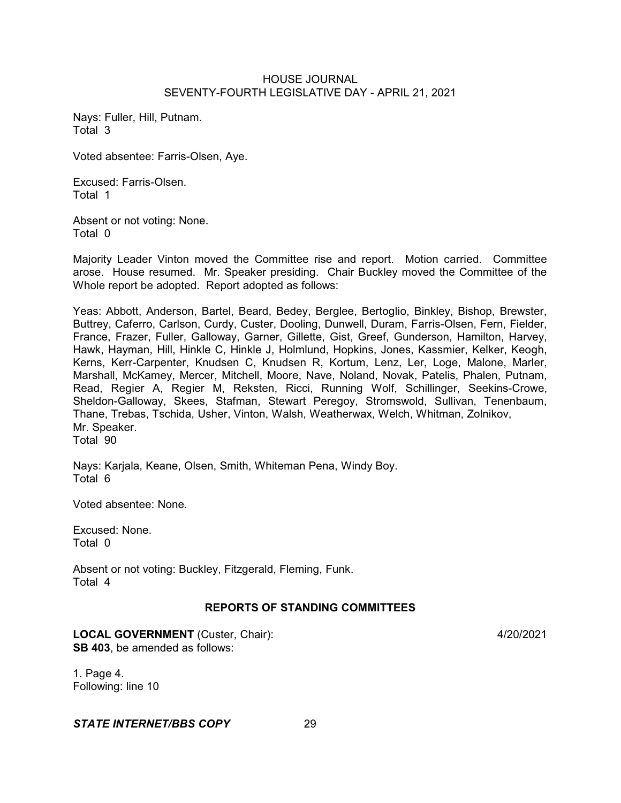Nays: Fuller, Hill, Putnam. Total 3

Voted absentee: Farris-Olsen, Aye.

Excused: Farris-Olsen. Total 1

Absent or not voting: None. Total 0

Majority Leader Vinton moved the Committee rise and report. Motion carried. Committee arose. House resumed. Mr. Speaker presiding. Chair Buckley moved the Committee of the Whole report be adopted. Report adopted as follows:

Yeas: Abbott, Anderson, Bartel, Beard, Bedey, Berglee, Bertoglio, Binkley, Bishop, Brewster, Buttrey, Caferro, Carlson, Curdy, Custer, Dooling, Dunwell, Duram, Farris-Olsen, Fern, Fielder, France, Frazer, Fuller, Galloway, Garner, Gillette, Gist, Greef, Gunderson, Hamilton, Harvey, Hawk, Hayman, Hill, Hinkle C, Hinkle J, Holmlund, Hopkins, Jones, Kassmier, Kelker, Keogh, Kerns, Kerr-Carpenter, Knudsen C, Knudsen R, Kortum, Lenz, Ler, Loge, Malone, Marler, Marshall, McKamey, Mercer, Mitchell, Moore, Nave, Noland, Novak, Patelis, Phalen, Putnam, Read, Regier A, Regier M, Reksten, Ricci, Running Wolf, Schillinger, Seekins-Crowe, Sheldon-Galloway, Skees, Stafman, Stewart Peregoy, Stromswold, Sullivan, Tenenbaum, Thane, Trebas, Tschida, Usher, Vinton, Walsh, Weatherwax, Welch, Whitman, Zolnikov, Mr. Speaker. Total 90

Nays: Karjala, Keane, Olsen, Smith, Whiteman Pena, Windy Boy. Total 6

Voted absentee: None.

Excused: None. Total 0

Absent or not voting: Buckley, Fitzgerald, Fleming, Funk. Total 4

# **REPORTS OF STANDING COMMITTEES**

**LOCAL GOVERNMENT** (Custer, Chair): 4/20/2021 **SB 403**, be amended as follows:

1. Page 4. Following: line 10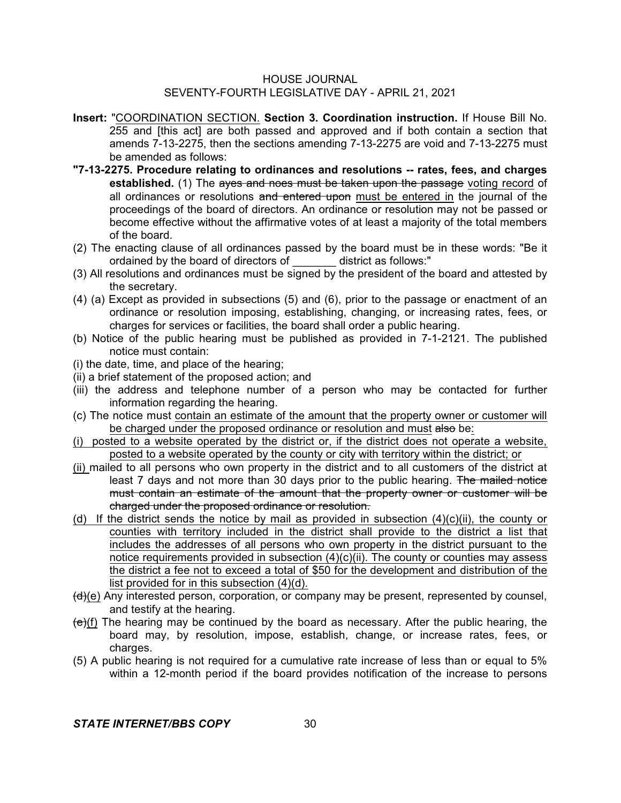- **Insert:** "COORDINATION SECTION. **Section 3. Coordination instruction.** If House Bill No. 255 and [this act] are both passed and approved and if both contain a section that amends 7-13-2275, then the sections amending 7-13-2275 are void and 7-13-2275 must be amended as follows:
- **"7-13-2275. Procedure relating to ordinances and resolutions -- rates, fees, and charges** established. (1) The ayes and noes must be taken upon the passage voting record of all ordinances or resolutions and entered upon must be entered in the journal of the proceedings of the board of directors. An ordinance or resolution may not be passed or become effective without the affirmative votes of at least a majority of the total members of the board.
- (2) The enacting clause of all ordinances passed by the board must be in these words: "Be it ordained by the board of directors of \_\_\_\_\_\_\_ district as follows:"
- (3) All resolutions and ordinances must be signed by the president of the board and attested by the secretary.
- (4) (a) Except as provided in subsections (5) and (6), prior to the passage or enactment of an ordinance or resolution imposing, establishing, changing, or increasing rates, fees, or charges for services or facilities, the board shall order a public hearing.
- (b) Notice of the public hearing must be published as provided in 7-1-2121. The published notice must contain:
- (i) the date, time, and place of the hearing;
- (ii) a brief statement of the proposed action; and
- (iii) the address and telephone number of a person who may be contacted for further information regarding the hearing.
- (c) The notice must contain an estimate of the amount that the property owner or customer will be charged under the proposed ordinance or resolution and must also be:
- (i) posted to a website operated by the district or, if the district does not operate a website, posted to a website operated by the county or city with territory within the district; or
- (ii) mailed to all persons who own property in the district and to all customers of the district at least 7 days and not more than 30 days prior to the public hearing. The mailed notice must contain an estimate of the amount that the property owner or customer will be charged under the proposed ordinance or resolution.
- (d) If the district sends the notice by mail as provided in subsection  $(4)(c)(ii)$ , the county or counties with territory included in the district shall provide to the district a list that includes the addresses of all persons who own property in the district pursuant to the notice requirements provided in subsection (4)(c)(ii). The county or counties may assess the district a fee not to exceed a total of \$50 for the development and distribution of the list provided for in this subsection (4)(d).
- $(d)(e)$  Any interested person, corporation, or company may be present, represented by counsel, and testify at the hearing.
- $(e)(f)$  The hearing may be continued by the board as necessary. After the public hearing, the board may, by resolution, impose, establish, change, or increase rates, fees, or charges.
- (5) A public hearing is not required for a cumulative rate increase of less than or equal to 5% within a 12-month period if the board provides notification of the increase to persons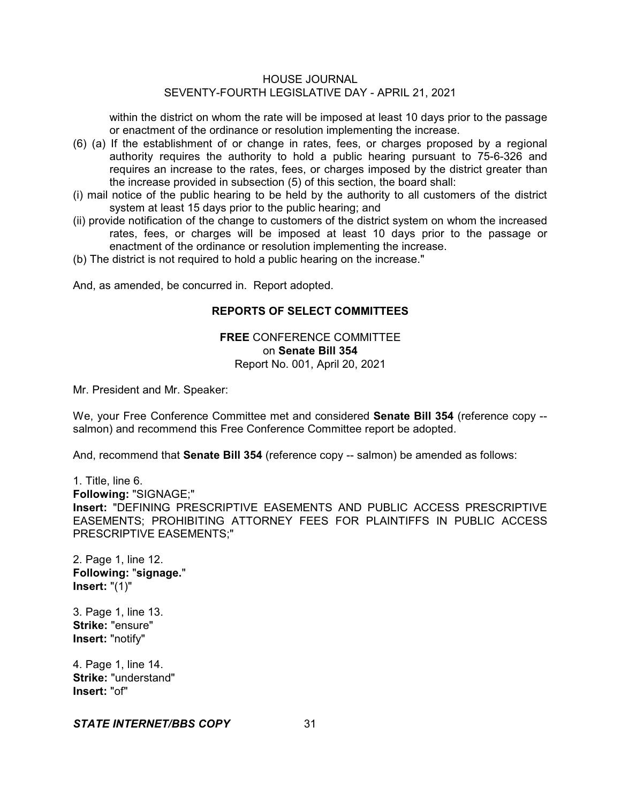within the district on whom the rate will be imposed at least 10 days prior to the passage or enactment of the ordinance or resolution implementing the increase.

- (6) (a) If the establishment of or change in rates, fees, or charges proposed by a regional authority requires the authority to hold a public hearing pursuant to 75-6-326 and requires an increase to the rates, fees, or charges imposed by the district greater than the increase provided in subsection (5) of this section, the board shall:
- (i) mail notice of the public hearing to be held by the authority to all customers of the district system at least 15 days prior to the public hearing; and
- (ii) provide notification of the change to customers of the district system on whom the increased rates, fees, or charges will be imposed at least 10 days prior to the passage or enactment of the ordinance or resolution implementing the increase.
- (b) The district is not required to hold a public hearing on the increase."

And, as amended, be concurred in. Report adopted.

# **REPORTS OF SELECT COMMITTEES**

**FREE** CONFERENCE COMMITTEE on **Senate Bill 354** Report No. 001, April 20, 2021

Mr. President and Mr. Speaker:

We, your Free Conference Committee met and considered **Senate Bill 354** (reference copy - salmon) and recommend this Free Conference Committee report be adopted.

And, recommend that **Senate Bill 354** (reference copy -- salmon) be amended as follows:

1. Title, line 6. **Following:** "SIGNAGE;" **Insert:** "DEFINING PRESCRIPTIVE EASEMENTS AND PUBLIC ACCESS PRESCRIPTIVE EASEMENTS; PROHIBITING ATTORNEY FEES FOR PLAINTIFFS IN PUBLIC ACCESS PRESCRIPTIVE EASEMENTS;"

2. Page 1, line 12. **Following:** "**signage.**" **Insert:** "(1)"

3. Page 1, line 13. **Strike:** "ensure" **Insert:** "notify"

4. Page 1, line 14. **Strike:** "understand" **Insert:** "of"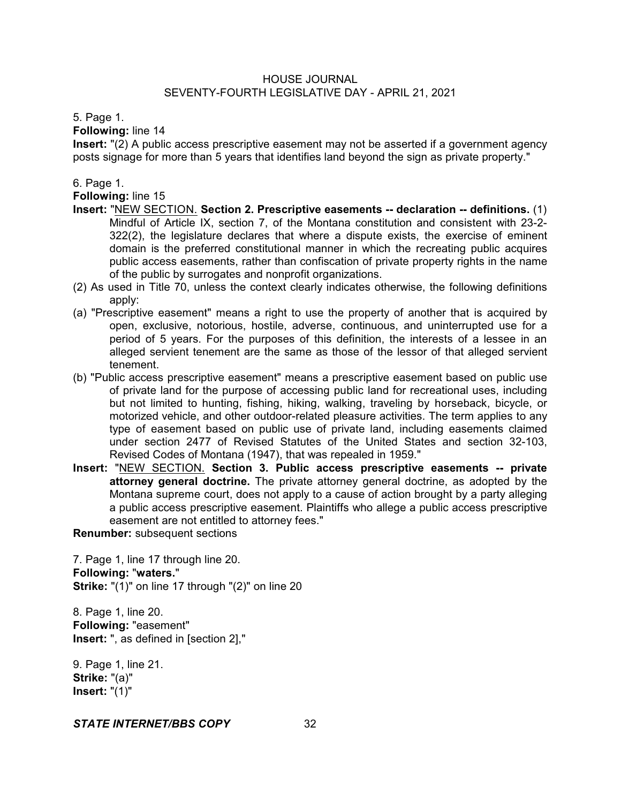# 5. Page 1.

**Following:** line 14

**Insert:** "(2) A public access prescriptive easement may not be asserted if a government agency posts signage for more than 5 years that identifies land beyond the sign as private property."

# 6. Page 1.

**Following:** line 15

- **Insert:** "NEW SECTION. **Section 2. Prescriptive easements -- declaration -- definitions.** (1) Mindful of Article IX, section 7, of the Montana constitution and consistent with 23-2- 322(2), the legislature declares that where a dispute exists, the exercise of eminent domain is the preferred constitutional manner in which the recreating public acquires public access easements, rather than confiscation of private property rights in the name of the public by surrogates and nonprofit organizations.
- (2) As used in Title 70, unless the context clearly indicates otherwise, the following definitions apply:
- (a) "Prescriptive easement" means a right to use the property of another that is acquired by open, exclusive, notorious, hostile, adverse, continuous, and uninterrupted use for a period of 5 years. For the purposes of this definition, the interests of a lessee in an alleged servient tenement are the same as those of the lessor of that alleged servient tenement.
- (b) "Public access prescriptive easement" means a prescriptive easement based on public use of private land for the purpose of accessing public land for recreational uses, including but not limited to hunting, fishing, hiking, walking, traveling by horseback, bicycle, or motorized vehicle, and other outdoor-related pleasure activities. The term applies to any type of easement based on public use of private land, including easements claimed under section 2477 of Revised Statutes of the United States and section 32-103, Revised Codes of Montana (1947), that was repealed in 1959."
- **Insert:** "NEW SECTION. **Section 3. Public access prescriptive easements -- private attorney general doctrine.** The private attorney general doctrine, as adopted by the Montana supreme court, does not apply to a cause of action brought by a party alleging a public access prescriptive easement. Plaintiffs who allege a public access prescriptive easement are not entitled to attorney fees."

**Renumber:** subsequent sections

7. Page 1, line 17 through line 20. **Following:** "**waters.**" **Strike:** "(1)" on line 17 through "(2)" on line 20

8. Page 1, line 20. **Following:** "easement" **Insert:** ", as defined in [section 2],"

9. Page 1, line 21. **Strike:** "(a)" **Insert:** "(1)"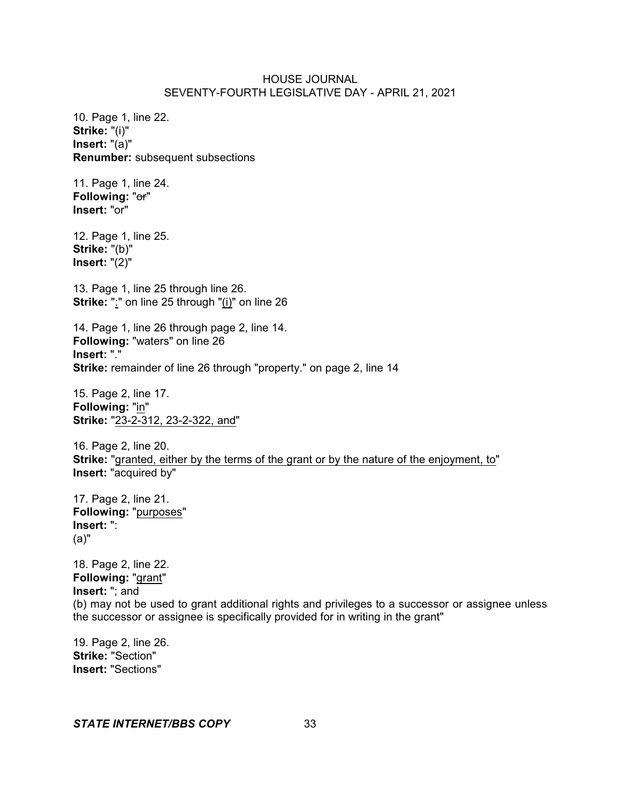10. Page 1, line 22. **Strike:** "(i)" **Insert:** "(a)" **Renumber:** subsequent subsections

11. Page 1, line 24. **Following:** "or" **Insert:** "or"

12. Page 1, line 25. **Strike:** "(b)" **Insert:** "(2)"

13. Page 1, line 25 through line 26. **Strike:** ":" on line 25 through "(i)" on line 26

14. Page 1, line 26 through page 2, line 14. **Following:** "waters" on line 26 **Insert:** "." **Strike:** remainder of line 26 through "property." on page 2, line 14

15. Page 2, line 17. **Following:** "in" **Strike:** "23-2-312, 23-2-322, and"

16. Page 2, line 20. **Strike:** "granted, either by the terms of the grant or by the nature of the enjoyment, to" **Insert:** "acquired by"

17. Page 2, line 21. **Following:** "purposes" **Insert:** ": (a)"

18. Page 2, line 22. **Following:** "grant" **Insert:** "; and (b) may not be used to grant additional rights and privileges to a successor or assignee unless the successor or assignee is specifically provided for in writing in the grant"

19. Page 2, line 26. **Strike:** "Section" **Insert:** "Sections"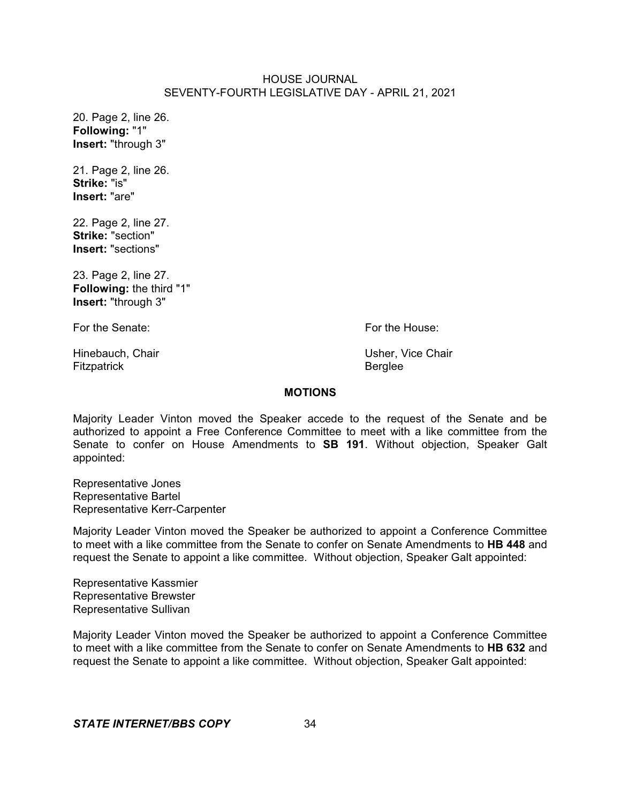20. Page 2, line 26. **Following:** "1" **Insert:** "through 3"

21. Page 2, line 26. **Strike:** "is" **Insert:** "are"

22. Page 2, line 27. **Strike:** "section" **Insert:** "sections"

23. Page 2, line 27. **Following:** the third "1" **Insert:** "through 3"

For the Senate: **For the House:** For the House:

Hinebauch, Chair **Nicholas Communist Chair** Usher, Vice Chair Fitzpatrick **Berglee** 

# **MOTIONS**

Majority Leader Vinton moved the Speaker accede to the request of the Senate and be authorized to appoint a Free Conference Committee to meet with a like committee from the Senate to confer on House Amendments to **SB 191**. Without objection, Speaker Galt appointed:

Representative Jones Representative Bartel Representative Kerr-Carpenter

Majority Leader Vinton moved the Speaker be authorized to appoint a Conference Committee to meet with a like committee from the Senate to confer on Senate Amendments to **HB 448** and request the Senate to appoint a like committee. Without objection, Speaker Galt appointed:

Representative Kassmier Representative Brewster Representative Sullivan

Majority Leader Vinton moved the Speaker be authorized to appoint a Conference Committee to meet with a like committee from the Senate to confer on Senate Amendments to **HB 632** and request the Senate to appoint a like committee. Without objection, Speaker Galt appointed: